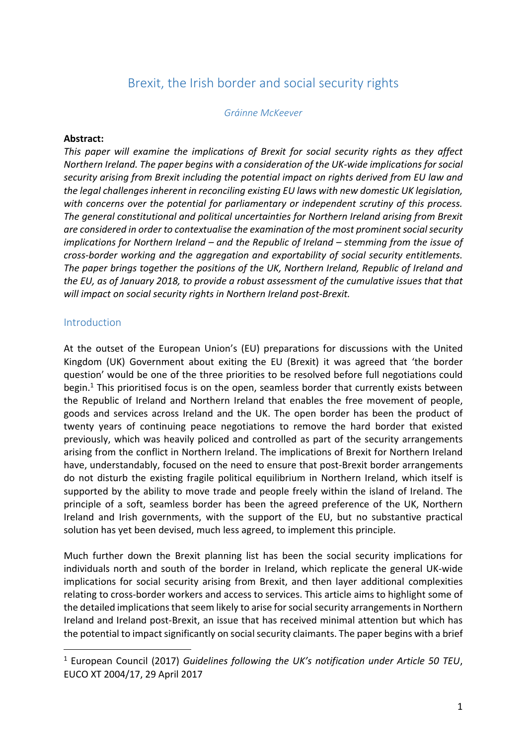# Brexit, the Irish border and social security rights

#### *Gráinne McKeever*

#### **Abstract:**

*This paper will examine the implications of Brexit for social security rights as they affect Northern Ireland. The paper begins with a consideration of the UK-wide implications for social security arising from Brexit including the potential impact on rights derived from EU law and the legal challenges inherent in reconciling existing EU laws with new domestic UK legislation, with concerns over the potential for parliamentary or independent scrutiny of this process. The general constitutional and political uncertainties for Northern Ireland arising from Brexit are considered in order to contextualise the examination of the most prominent social security implications for Northern Ireland – and the Republic of Ireland – stemming from the issue of cross-border working and the aggregation and exportability of social security entitlements. The paper brings together the positions of the UK, Northern Ireland, Republic of Ireland and the EU, as of January 2018, to provide a robust assessment of the cumulative issues that that will impact on social security rights in Northern Ireland post-Brexit.*

#### Introduction

**.** 

At the outset of the European Union's (EU) preparations for discussions with the United Kingdom (UK) Government about exiting the EU (Brexit) it was agreed that 'the border question' would be one of the three priorities to be resolved before full negotiations could begin. <sup>1</sup> This prioritised focus is on the open, seamless border that currently exists between the Republic of Ireland and Northern Ireland that enables the free movement of people, goods and services across Ireland and the UK. The open border has been the product of twenty years of continuing peace negotiations to remove the hard border that existed previously, which was heavily policed and controlled as part of the security arrangements arising from the conflict in Northern Ireland. The implications of Brexit for Northern Ireland have, understandably, focused on the need to ensure that post-Brexit border arrangements do not disturb the existing fragile political equilibrium in Northern Ireland, which itself is supported by the ability to move trade and people freely within the island of Ireland. The principle of a soft, seamless border has been the agreed preference of the UK, Northern Ireland and Irish governments, with the support of the EU, but no substantive practical solution has yet been devised, much less agreed, to implement this principle.

Much further down the Brexit planning list has been the social security implications for individuals north and south of the border in Ireland, which replicate the general UK-wide implications for social security arising from Brexit, and then layer additional complexities relating to cross-border workers and access to services. This article aims to highlight some of the detailed implications that seem likely to arise for social security arrangements in Northern Ireland and Ireland post-Brexit, an issue that has received minimal attention but which has the potential to impact significantly on social security claimants. The paper begins with a brief

<sup>1</sup> European Council (2017) *Guidelines following the UK's notification under Article 50 TEU*, EUCO XT 2004/17, 29 April 2017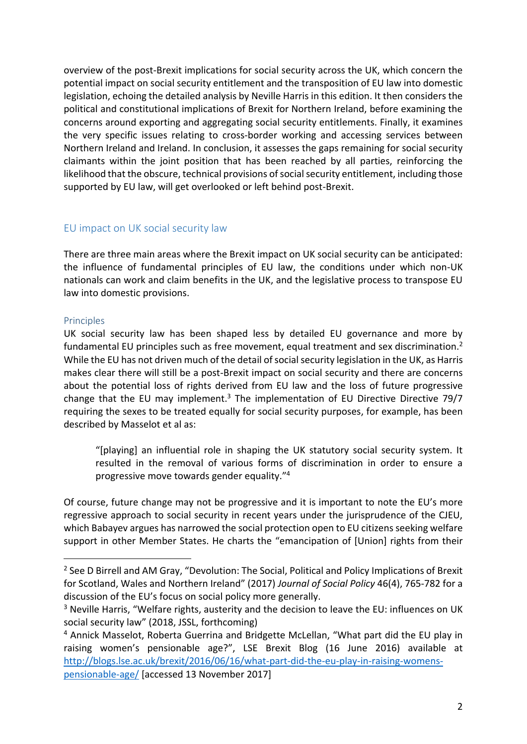overview of the post-Brexit implications for social security across the UK, which concern the potential impact on social security entitlement and the transposition of EU law into domestic legislation, echoing the detailed analysis by Neville Harris in this edition. It then considers the political and constitutional implications of Brexit for Northern Ireland, before examining the concerns around exporting and aggregating social security entitlements. Finally, it examines the very specific issues relating to cross-border working and accessing services between Northern Ireland and Ireland. In conclusion, it assesses the gaps remaining for social security claimants within the joint position that has been reached by all parties, reinforcing the likelihood that the obscure, technical provisions of social security entitlement, including those supported by EU law, will get overlooked or left behind post-Brexit.

### EU impact on UK social security law

There are three main areas where the Brexit impact on UK social security can be anticipated: the influence of fundamental principles of EU law, the conditions under which non-UK nationals can work and claim benefits in the UK, and the legislative process to transpose EU law into domestic provisions.

### **Principles**

**.** 

UK social security law has been shaped less by detailed EU governance and more by fundamental EU principles such as free movement, equal treatment and sex discrimination.<sup>2</sup> While the EU has not driven much of the detail of social security legislation in the UK, as Harris makes clear there will still be a post-Brexit impact on social security and there are concerns about the potential loss of rights derived from EU law and the loss of future progressive change that the EU may implement.<sup>3</sup> The implementation of EU Directive Directive 79/7 requiring the sexes to be treated equally for social security purposes, for example, has been described by Masselot et al as:

"[playing] an influential role in shaping the UK statutory social security system. It resulted in the removal of various forms of discrimination in order to ensure a progressive move towards gender equality." 4

Of course, future change may not be progressive and it is important to note the EU's more regressive approach to social security in recent years under the jurisprudence of the CJEU, which Babayev argues has narrowed the social protection open to EU citizens seeking welfare support in other Member States. He charts the "emancipation of [Union] rights from their

<sup>&</sup>lt;sup>2</sup> See D Birrell and AM Gray, "Devolution: The Social, Political and Policy Implications of Brexit for Scotland, Wales and Northern Ireland" (2017) *Journal of Social Policy* 46(4), 765-782 for a discussion of the EU's focus on social policy more generally.

<sup>&</sup>lt;sup>3</sup> Neville Harris, "Welfare rights, austerity and the decision to leave the EU: influences on UK social security law" (2018, JSSL, forthcoming)

<sup>4</sup> Annick Masselot, Roberta Guerrina and Bridgette McLellan, "What part did the EU play in raising women's pensionable age?", LSE Brexit Blog (16 June 2016) available at [http://blogs.lse.ac.uk/brexit/2016/06/16/what-part-did-the-eu-play-in-raising-womens-](http://blogs.lse.ac.uk/brexit/2016/06/16/what-part-did-the-eu-play-in-raising-womens-pensionable-age/)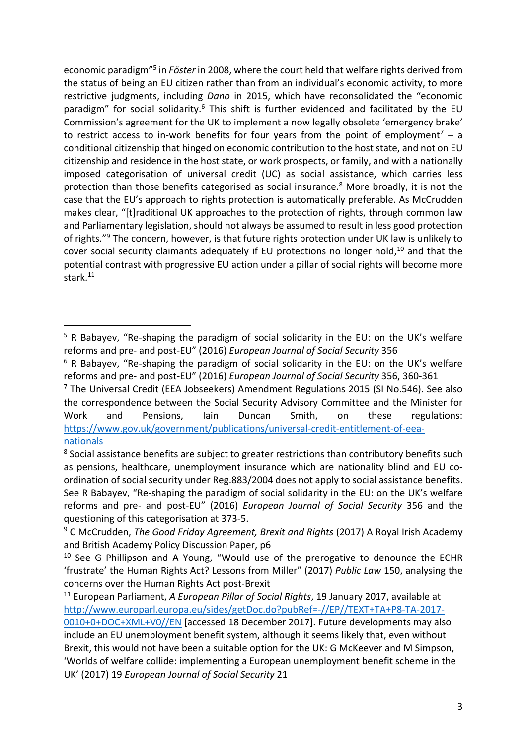economic paradigm"<sup>5</sup> in *Föster* in 2008, where the court held that welfare rights derived from the status of being an EU citizen rather than from an individual's economic activity, to more restrictive judgments, including *Dano* in 2015, which have reconsolidated the "economic paradigm" for social solidarity.<sup>6</sup> This shift is further evidenced and facilitated by the EU Commission's agreement for the UK to implement a now legally obsolete 'emergency brake' to restrict access to in-work benefits for four years from the point of employment<sup>7</sup> – a conditional citizenship that hinged on economic contribution to the host state, and not on EU citizenship and residence in the host state, or work prospects, or family, and with a nationally imposed categorisation of universal credit (UC) as social assistance, which carries less protection than those benefits categorised as social insurance. <sup>8</sup> More broadly, it is not the case that the EU's approach to rights protection is automatically preferable. As McCrudden makes clear, "[t]raditional UK approaches to the protection of rights, through common law and Parliamentary legislation, should not always be assumed to result in less good protection of rights."<sup>9</sup> The concern, however, is that future rights protection under UK law is unlikely to cover social security claimants adequately if EU protections no longer hold,<sup>10</sup> and that the potential contrast with progressive EU action under a pillar of social rights will become more stark.<sup>11</sup>

<sup>5</sup> R Babayev, "Re-shaping the paradigm of social solidarity in the EU: on the UK's welfare reforms and pre- and post-EU" (2016) *European Journal of Social Security* 356

<sup>&</sup>lt;sup>6</sup> R Babayev, "Re-shaping the paradigm of social solidarity in the EU: on the UK's welfare reforms and pre- and post-EU" (2016) *European Journal of Social Security* 356, 360-361

 $7$  The Universal Credit (EEA Jobseekers) Amendment Regulations 2015 (SI No.546). See also the correspondence between the Social Security Advisory Committee and the Minister for Work and Pensions, Iain Duncan Smith, on these regulations: [https://www.gov.uk/government/publications/universal-credit-entitlement-of-eea](https://www.gov.uk/government/publications/universal-credit-entitlement-of-eea-nationals)[nationals](https://www.gov.uk/government/publications/universal-credit-entitlement-of-eea-nationals)

<sup>&</sup>lt;sup>8</sup> Social assistance benefits are subject to greater restrictions than contributory benefits such as pensions, healthcare, unemployment insurance which are nationality blind and EU coordination of social security under Reg.883/2004 does not apply to social assistance benefits. See R Babayev, "Re-shaping the paradigm of social solidarity in the EU: on the UK's welfare reforms and pre- and post-EU" (2016) *European Journal of Social Security* 356 and the questioning of this categorisation at 373-5.

<sup>9</sup> C McCrudden, *The Good Friday Agreement, Brexit and Rights* (2017) A Royal Irish Academy and British Academy Policy Discussion Paper, p6

 $10$  See G Phillipson and A Young, "Would use of the prerogative to denounce the ECHR 'frustrate' the Human Rights Act? Lessons from Miller" (2017) *Public Law* 150, analysing the concerns over the Human Rights Act post-Brexit

<sup>11</sup> European Parliament, *A European Pillar of Social Rights*, 19 January 2017, available at [http://www.europarl.europa.eu/sides/getDoc.do?pubRef=-//EP//TEXT+TA+P8-TA-2017-](http://www.europarl.europa.eu/sides/getDoc.do?pubRef=-//EP//TEXT+TA+P8-TA-2017-0010+0+DOC+XML+V0//EN) [0010+0+DOC+XML+V0//EN](http://www.europarl.europa.eu/sides/getDoc.do?pubRef=-//EP//TEXT+TA+P8-TA-2017-0010+0+DOC+XML+V0//EN) [accessed 18 December 2017]. Future developments may also include an EU unemployment benefit system, although it seems likely that, even without Brexit, this would not have been a suitable option for the UK: G McKeever and M Simpson, 'Worlds of welfare collide: implementing a European unemployment benefit scheme in the UK' (2017) 19 *European Journal of Social Security* 21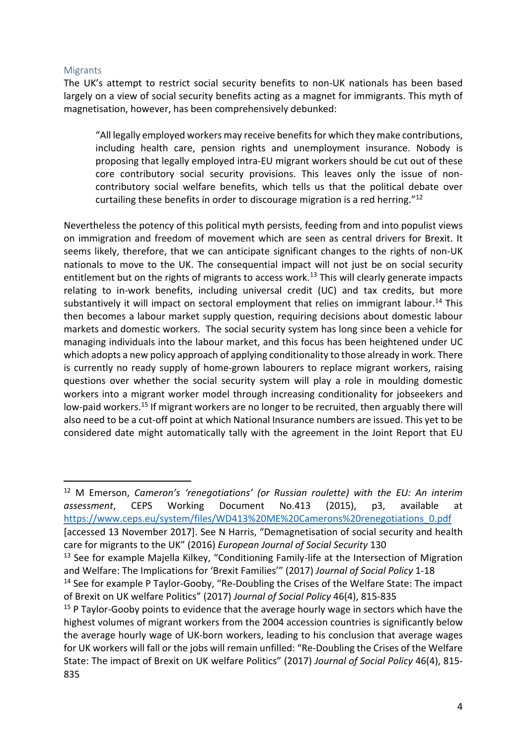### Migrants

**.** 

The UK's attempt to restrict social security benefits to non-UK nationals has been based largely on a view of social security benefits acting as a magnet for immigrants. This myth of magnetisation, however, has been comprehensively debunked:

"All legally employed workers may receive benefits for which they make contributions, including health care, pension rights and unemployment insurance. Nobody is proposing that legally employed intra-EU migrant workers should be cut out of these core contributory social security provisions. This leaves only the issue of noncontributory social welfare benefits, which tells us that the political debate over curtailing these benefits in order to discourage migration is a red herring."<sup>12</sup>

Nevertheless the potency of this political myth persists, feeding from and into populist views on immigration and freedom of movement which are seen as central drivers for Brexit. It seems likely, therefore, that we can anticipate significant changes to the rights of non-UK nationals to move to the UK. The consequential impact will not just be on social security entitlement but on the rights of migrants to access work.<sup>13</sup> This will clearly generate impacts relating to in-work benefits, including universal credit (UC) and tax credits, but more substantively it will impact on sectoral employment that relies on immigrant labour.<sup>14</sup> This then becomes a labour market supply question, requiring decisions about domestic labour markets and domestic workers. The social security system has long since been a vehicle for managing individuals into the labour market, and this focus has been heightened under UC which adopts a new policy approach of applying conditionality to those already in work. There is currently no ready supply of home-grown labourers to replace migrant workers, raising questions over whether the social security system will play a role in moulding domestic workers into a migrant worker model through increasing conditionality for jobseekers and low-paid workers.<sup>15</sup> If migrant workers are no longer to be recruited, then arguably there will also need to be a cut-off point at which National Insurance numbers are issued. This yet to be considered date might automatically tally with the agreement in the Joint Report that EU

<sup>12</sup> M Emerson, *Cameron's 'renegotiations' (or Russian roulette) with the EU: An interim assessment*, CEPS Working Document No.413 (2015), p3, available at [https://www.ceps.eu/system/files/WD413%20ME%20Camerons%20renegotiations\\_0.pdf](https://www.ceps.eu/system/files/WD413%20ME%20Camerons%20renegotiations_0.pdf)

[accessed 13 November 2017]. See N Harris, "Demagnetisation of social security and health care for migrants to the UK" (2016) *European Journal of Social Security* 130

<sup>&</sup>lt;sup>13</sup> See for example Majella Kilkey, "Conditioning Family-life at the Intersection of Migration and Welfare: The Implications for 'Brexit Families'" (2017) *Journal of Social Policy* 1-18

<sup>&</sup>lt;sup>14</sup> See for example P Taylor-Gooby, "Re-Doubling the Crises of the Welfare State: The impact of Brexit on UK welfare Politics" (2017) *Journal of Social Policy* 46(4), 815-835

 $15$  P Taylor-Gooby points to evidence that the average hourly wage in sectors which have the highest volumes of migrant workers from the 2004 accession countries is significantly below the average hourly wage of UK-born workers, leading to his conclusion that average wages for UK workers will fall or the jobs will remain unfilled: "Re-Doubling the Crises of the Welfare State: The impact of Brexit on UK welfare Politics" (2017) *Journal of Social Policy* 46(4), 815- 835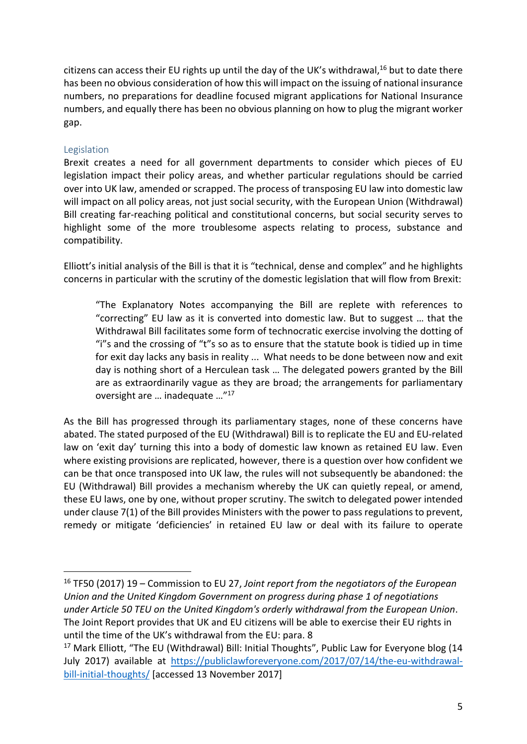citizens can access their EU rights up until the day of the UK's withdrawal, <sup>16</sup> but to date there has been no obvious consideration of how this will impact on the issuing of national insurance numbers, no preparations for deadline focused migrant applications for National Insurance numbers, and equally there has been no obvious planning on how to plug the migrant worker gap.

### Legislation

**.** 

Brexit creates a need for all government departments to consider which pieces of EU legislation impact their policy areas, and whether particular regulations should be carried over into UK law, amended or scrapped. The process of transposing EU law into domestic law will impact on all policy areas, not just social security, with the European Union (Withdrawal) Bill creating far-reaching political and constitutional concerns, but social security serves to highlight some of the more troublesome aspects relating to process, substance and compatibility.

Elliott's initial analysis of the Bill is that it is "technical, dense and complex" and he highlights concerns in particular with the scrutiny of the domestic legislation that will flow from Brexit:

"The Explanatory Notes accompanying the Bill are replete with references to "correcting" EU law as it is converted into domestic law. But to suggest … that the Withdrawal Bill facilitates some form of technocratic exercise involving the dotting of "i"s and the crossing of "t"s so as to ensure that the statute book is tidied up in time for exit day lacks any basis in reality ... What needs to be done between now and exit day is nothing short of a Herculean task … The delegated powers granted by the Bill are as extraordinarily vague as they are broad; the arrangements for parliamentary oversight are … inadequate …" 17

As the Bill has progressed through its parliamentary stages, none of these concerns have abated. The stated purposed of the EU (Withdrawal) Bill is to replicate the EU and EU-related law on 'exit day' turning this into a body of domestic law known as retained EU law. Even where existing provisions are replicated, however, there is a question over how confident we can be that once transposed into UK law, the rules will not subsequently be abandoned: the EU (Withdrawal) Bill provides a mechanism whereby the UK can quietly repeal, or amend, these EU laws, one by one, without proper scrutiny. The switch to delegated power intended under clause 7(1) of the Bill provides Ministers with the power to pass regulations to prevent, remedy or mitigate 'deficiencies' in retained EU law or deal with its failure to operate

<sup>16</sup> TF50 (2017) 19 – Commission to EU 27, *Joint report from the negotiators of the European Union and the United Kingdom Government on progress during phase 1 of negotiations under Article 50 TEU on the United Kingdom's orderly withdrawal from the European Union*. The Joint Report provides that UK and EU citizens will be able to exercise their EU rights in until the time of the UK's withdrawal from the EU: para. 8

<sup>&</sup>lt;sup>17</sup> Mark Elliott, "The EU (Withdrawal) Bill: Initial Thoughts", Public Law for Everyone blog (14 July 2017) available at [https://publiclawforeveryone.com/2017/07/14/the-eu-withdrawal](https://publiclawforeveryone.com/2017/07/14/the-eu-withdrawal-bill-initial-thoughts/)[bill-initial-thoughts/](https://publiclawforeveryone.com/2017/07/14/the-eu-withdrawal-bill-initial-thoughts/) [accessed 13 November 2017]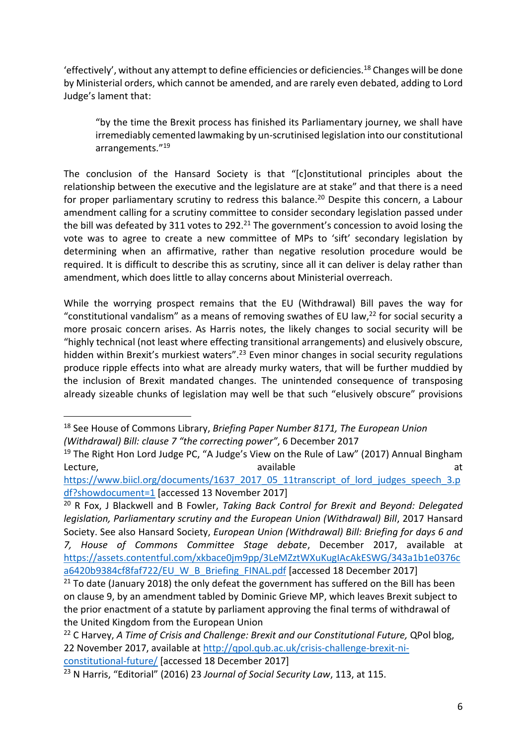'effectively', without any attempt to define efficiencies or deficiencies.<sup>18</sup> Changes will be done by Ministerial orders, which cannot be amended, and are rarely even debated, adding to Lord Judge's lament that:

"by the time the Brexit process has finished its Parliamentary journey, we shall have irremediably cemented lawmaking by un-scrutinised legislation into our constitutional arrangements." 19

The conclusion of the Hansard Society is that "[c]onstitutional principles about the relationship between the executive and the legislature are at stake" and that there is a need for proper parliamentary scrutiny to redress this balance.<sup>20</sup> Despite this concern, a Labour amendment calling for a scrutiny committee to consider secondary legislation passed under the bill was defeated by 311 votes to 292.<sup>21</sup> The government's concession to avoid losing the vote was to agree to create a new committee of MPs to 'sift' secondary legislation by determining when an affirmative, rather than negative resolution procedure would be required. It is difficult to describe this as scrutiny, since all it can deliver is delay rather than amendment, which does little to allay concerns about Ministerial overreach.

While the worrying prospect remains that the EU (Withdrawal) Bill paves the way for "constitutional vandalism" as a means of removing swathes of EU law,<sup>22</sup> for social security a more prosaic concern arises. As Harris notes, the likely changes to social security will be "highly technical (not least where effecting transitional arrangements) and elusively obscure, hidden within Brexit's murkiest waters".<sup>23</sup> Even minor changes in social security regulations produce ripple effects into what are already murky waters, that will be further muddied by the inclusion of Brexit mandated changes. The unintended consequence of transposing already sizeable chunks of legislation may well be that such "elusively obscure" provisions

<sup>18</sup> See House of Commons Library, *Briefing Paper Number 8171, The European Union (Withdrawal) Bill: clause 7 "the correcting power"*, 6 December 2017

<sup>&</sup>lt;sup>19</sup> The Right Hon Lord Judge PC, "A Judge's View on the Rule of Law" (2017) Annual Bingham Lecture, the contraction of the available at the contraction of the contraction of the contraction of the contraction of the contraction of the contraction of the contraction of the contraction of the contraction of the co

[https://www.biicl.org/documents/1637\\_2017\\_05\\_11transcript\\_of\\_lord\\_judges\\_speech\\_3.p](https://www.biicl.org/documents/1637_2017_05_11transcript_of_lord_judges_speech_3.pdf?showdocument=1) [df?showdocument=1](https://www.biicl.org/documents/1637_2017_05_11transcript_of_lord_judges_speech_3.pdf?showdocument=1) [accessed 13 November 2017]

<sup>20</sup> R Fox, J Blackwell and B Fowler, *Taking Back Control for Brexit and Beyond: Delegated legislation, Parliamentary scrutiny and the European Union (Withdrawal) Bill, 2017 Hansard* Society. See also Hansard Society, *European Union (Withdrawal) Bill: Briefing for days 6 and 7, House of Commons Committee Stage debate*, December 2017, available at [https://assets.contentful.com/xkbace0jm9pp/3LeMZztWXuKugIAcAkESWG/343a1b1e0376c](https://assets.contentful.com/xkbace0jm9pp/3LeMZztWXuKugIAcAkESWG/343a1b1e0376ca6420b9384cf8faf722/EU_W_B_Briefing_FINAL.pdf) [a6420b9384cf8faf722/EU\\_W\\_B\\_Briefing\\_FINAL.pdf](https://assets.contentful.com/xkbace0jm9pp/3LeMZztWXuKugIAcAkESWG/343a1b1e0376ca6420b9384cf8faf722/EU_W_B_Briefing_FINAL.pdf) [accessed 18 December 2017]

 $21$  To date (January 2018) the only defeat the government has suffered on the Bill has been on clause 9, by an amendment tabled by Dominic Grieve MP, which leaves Brexit subject to the prior enactment of a statute by parliament approving the final terms of withdrawal of the United Kingdom from the European Union

<sup>22</sup> C Harvey, *A Time of Crisis and Challenge: Brexit and our Constitutional Future,* QPol blog, 22 November 2017, available at [http://qpol.qub.ac.uk/crisis-challenge-brexit-ni](http://qpol.qub.ac.uk/crisis-challenge-brexit-ni-constitutional-future/)[constitutional-future/](http://qpol.qub.ac.uk/crisis-challenge-brexit-ni-constitutional-future/) [accessed 18 December 2017]

<sup>23</sup> N Harris, "Editorial" (2016) 23 *Journal of Social Security Law*, 113, at 115.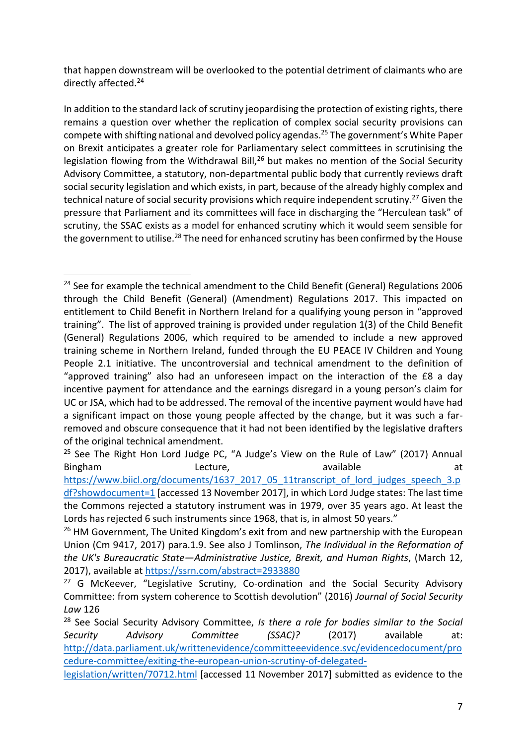that happen downstream will be overlooked to the potential detriment of claimants who are directly affected.<sup>24</sup>

In addition to the standard lack of scrutiny jeopardising the protection of existing rights, there remains a question over whether the replication of complex social security provisions can compete with shifting national and devolved policy agendas. <sup>25</sup> The government's White Paper on Brexit anticipates a greater role for Parliamentary select committees in scrutinising the legislation flowing from the Withdrawal Bill,<sup>26</sup> but makes no mention of the Social Security Advisory Committee, a statutory, non-departmental public body that currently reviews draft social security legislation and which exists, in part, because of the already highly complex and technical nature of social security provisions which require independent scrutiny.<sup>27</sup> Given the pressure that Parliament and its committees will face in discharging the "Herculean task" of scrutiny, the SSAC exists as a model for enhanced scrutiny which it would seem sensible for the government to utilise.<sup>28</sup> The need for enhanced scrutiny has been confirmed by the House

<sup>&</sup>lt;sup>24</sup> See for example the technical amendment to the Child Benefit (General) Regulations 2006 through the Child Benefit (General) (Amendment) Regulations 2017. This impacted on entitlement to Child Benefit in Northern Ireland for a qualifying young person in "approved training". The list of approved training is provided under regulation 1(3) of the Child Benefit (General) Regulations 2006, which required to be amended to include a new approved training scheme in Northern Ireland, funded through the EU PEACE IV Children and Young People 2.1 initiative. The uncontroversial and technical amendment to the definition of "approved training" also had an unforeseen impact on the interaction of the £8 a day incentive payment for attendance and the earnings disregard in a young person's claim for UC or JSA, which had to be addressed. The removal of the incentive payment would have had a significant impact on those young people affected by the change, but it was such a farremoved and obscure consequence that it had not been identified by the legislative drafters of the original technical amendment.

 $25$  See The Right Hon Lord Judge PC, "A Judge's View on the Rule of Law" (2017) Annual Bingham and Lecture, and available and at the state at the lecture, and a state at the state at a t [https://www.biicl.org/documents/1637\\_2017\\_05\\_11transcript\\_of\\_lord\\_judges\\_speech\\_3.p](https://www.biicl.org/documents/1637_2017_05_11transcript_of_lord_judges_speech_3.pdf?showdocument=1) [df?showdocument=1](https://www.biicl.org/documents/1637_2017_05_11transcript_of_lord_judges_speech_3.pdf?showdocument=1) [accessed 13 November 2017], in which Lord Judge states: The last time

the Commons rejected a statutory instrument was in 1979, over 35 years ago. At least the Lords has rejected 6 such instruments since 1968, that is, in almost 50 years."

<sup>&</sup>lt;sup>26</sup> HM Government, The United Kingdom's exit from and new partnership with the European Union (Cm 9417, 2017) para.1.9. See also J Tomlinson, *The Individual in the Reformation of the UK's Bureaucratic State—Administrative Justice, Brexit, and Human Rights*, (March 12, 2017), available at<https://ssrn.com/abstract=2933880>

 $27$  G McKeever, "Legislative Scrutiny, Co-ordination and the Social Security Advisory Committee: from system coherence to Scottish devolution" (2016) *Journal of Social Security Law* 126

<sup>28</sup> See Social Security Advisory Committee, *Is there a role for bodies similar to the Social Security Advisory Committee (SSAC)?* (2017) available at: [http://data.parliament.uk/writtenevidence/committeeevidence.svc/evidencedocument/pro](http://data.parliament.uk/writtenevidence/committeeevidence.svc/evidencedocument/procedure-committee/exiting-the-european-union-scrutiny-of-delegated-legislation/written/70712.html) [cedure-committee/exiting-the-european-union-scrutiny-of-delegated-](http://data.parliament.uk/writtenevidence/committeeevidence.svc/evidencedocument/procedure-committee/exiting-the-european-union-scrutiny-of-delegated-legislation/written/70712.html)

[legislation/written/70712.html](http://data.parliament.uk/writtenevidence/committeeevidence.svc/evidencedocument/procedure-committee/exiting-the-european-union-scrutiny-of-delegated-legislation/written/70712.html) [accessed 11 November 2017] submitted as evidence to the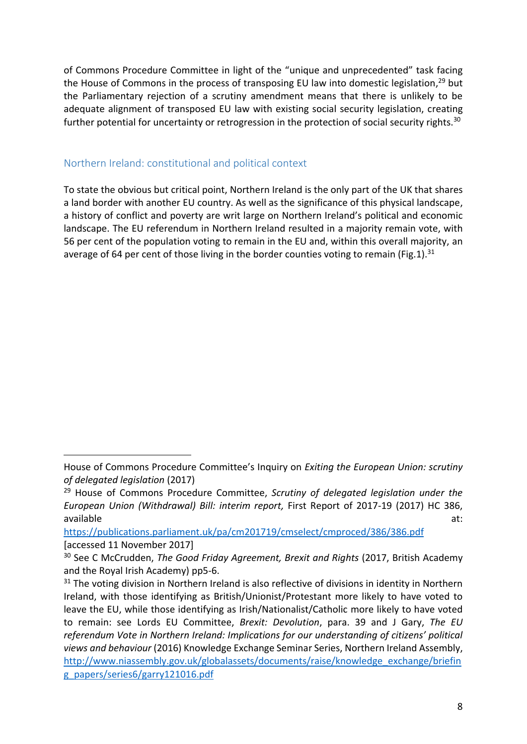of Commons Procedure Committee in light of the "unique and unprecedented" task facing the House of Commons in the process of transposing EU law into domestic legislation,<sup>29</sup> but the Parliamentary rejection of a scrutiny amendment means that there is unlikely to be adequate alignment of transposed EU law with existing social security legislation, creating further potential for uncertainty or retrogression in the protection of social security rights.<sup>30</sup>

### Northern Ireland: constitutional and political context

**.** 

To state the obvious but critical point, Northern Ireland is the only part of the UK that shares a land border with another EU country. As well as the significance of this physical landscape, a history of conflict and poverty are writ large on Northern Ireland's political and economic landscape. The EU referendum in Northern Ireland resulted in a majority remain vote, with 56 per cent of the population voting to remain in the EU and, within this overall majority, an average of 64 per cent of those living in the border counties voting to remain (Fig.1).<sup>31</sup>

House of Commons Procedure Committee's Inquiry on *Exiting the European Union: scrutiny of delegated legislation* (2017)

<sup>29</sup> House of Commons Procedure Committee, *Scrutiny of delegated legislation under the European Union (Withdrawal) Bill: interim report,* First Report of 2017-19 (2017) HC 386, available at:

<https://publications.parliament.uk/pa/cm201719/cmselect/cmproced/386/386.pdf> [accessed 11 November 2017]

<sup>30</sup> See C McCrudden, *The Good Friday Agreement, Brexit and Rights* (2017, British Academy and the Royal Irish Academy) pp5-6.

 $31$  The voting division in Northern Ireland is also reflective of divisions in identity in Northern Ireland, with those identifying as British/Unionist/Protestant more likely to have voted to leave the EU, while those identifying as Irish/Nationalist/Catholic more likely to have voted to remain: see Lords EU Committee, *Brexit: Devolution*, para. 39 and J Gary, *The EU referendum Vote in Northern Ireland: Implications for our understanding of citizens' political views and behaviour* (2016) Knowledge Exchange Seminar Series, Northern Ireland Assembly, [http://www.niassembly.gov.uk/globalassets/documents/raise/knowledge\\_exchange/briefin](http://www.niassembly.gov.uk/globalassets/documents/raise/knowledge_exchange/briefing_papers/series6/garry121016.pdf) [g\\_papers/series6/garry121016.pdf](http://www.niassembly.gov.uk/globalassets/documents/raise/knowledge_exchange/briefing_papers/series6/garry121016.pdf)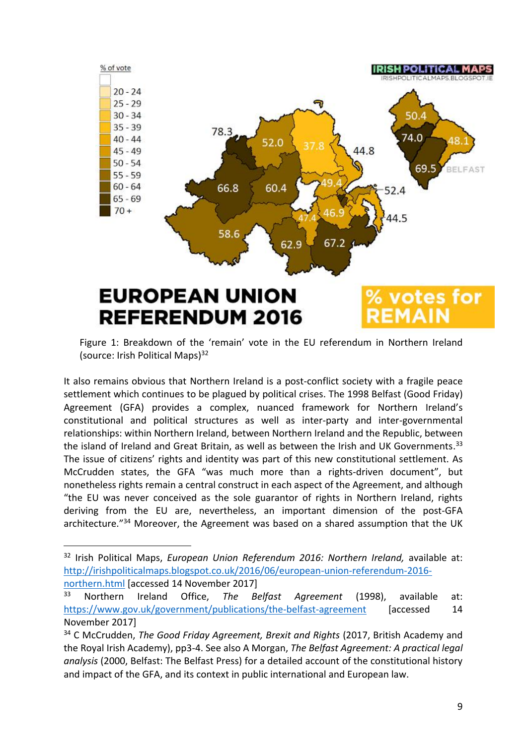

Figure 1: Breakdown of the 'remain' vote in the EU referendum in Northern Ireland (source: Irish Political Maps) $32$ 

It also remains obvious that Northern Ireland is a post-conflict society with a fragile peace settlement which continues to be plagued by political crises. The 1998 Belfast (Good Friday) Agreement (GFA) provides a complex, nuanced framework for Northern Ireland's constitutional and political structures as well as inter-party and inter-governmental relationships: within Northern Ireland, between Northern Ireland and the Republic, between the island of Ireland and Great Britain, as well as between the Irish and UK Governments.<sup>33</sup> The issue of citizens' rights and identity was part of this new constitutional settlement. As McCrudden states, the GFA "was much more than a rights-driven document", but nonetheless rights remain a central construct in each aspect of the Agreement, and although "the EU was never conceived as the sole guarantor of rights in Northern Ireland, rights deriving from the EU are, nevertheless, an important dimension of the post-GFA architecture."<sup>34</sup> Moreover, the Agreement was based on a shared assumption that the UK

<sup>32</sup> Irish Political Maps, *European Union Referendum 2016: Northern Ireland,* available at: [http://irishpoliticalmaps.blogspot.co.uk/2016/06/european-union-referendum-2016](http://irishpoliticalmaps.blogspot.co.uk/2016/06/european-union-referendum-2016-northern.html) [northern.html](http://irishpoliticalmaps.blogspot.co.uk/2016/06/european-union-referendum-2016-northern.html) [accessed 14 November 2017]

<sup>33</sup> Northern Ireland Office, *The Belfast Agreement* (1998), available at: <https://www.gov.uk/government/publications/the-belfast-agreement> [accessed 14 November 2017]

<sup>34</sup> C McCrudden, *The Good Friday Agreement, Brexit and Rights* (2017, British Academy and the Royal Irish Academy), pp3-4. See also A Morgan, *The Belfast Agreement: A practical legal analysis* (2000, Belfast: The Belfast Press) for a detailed account of the constitutional history and impact of the GFA, and its context in public international and European law.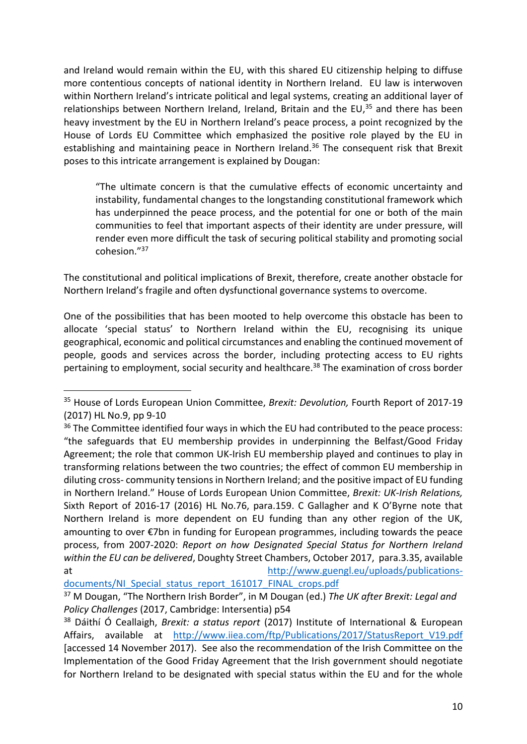and Ireland would remain within the EU, with this shared EU citizenship helping to diffuse more contentious concepts of national identity in Northern Ireland. EU law is interwoven within Northern Ireland's intricate political and legal systems, creating an additional layer of relationships between Northern Ireland, Ireland, Britain and the EU,<sup>35</sup> and there has been heavy investment by the EU in Northern Ireland's peace process, a point recognized by the House of Lords EU Committee which emphasized the positive role played by the EU in establishing and maintaining peace in Northern Ireland.<sup>36</sup> The consequent risk that Brexit poses to this intricate arrangement is explained by Dougan:

"The ultimate concern is that the cumulative effects of economic uncertainty and instability, fundamental changes to the longstanding constitutional framework which has underpinned the peace process, and the potential for one or both of the main communities to feel that important aspects of their identity are under pressure, will render even more difficult the task of securing political stability and promoting social cohesion."<sup>37</sup>

The constitutional and political implications of Brexit, therefore, create another obstacle for Northern Ireland's fragile and often dysfunctional governance systems to overcome.

One of the possibilities that has been mooted to help overcome this obstacle has been to allocate 'special status' to Northern Ireland within the EU, recognising its unique geographical, economic and political circumstances and enabling the continued movement of people, goods and services across the border, including protecting access to EU rights pertaining to employment, social security and healthcare. <sup>38</sup> The examination of cross border

<sup>35</sup> House of Lords European Union Committee, *Brexit: Devolution,* Fourth Report of 2017-19 (2017) HL No.9, pp 9-10

<sup>&</sup>lt;sup>36</sup> The Committee identified four ways in which the EU had contributed to the peace process: "the safeguards that EU membership provides in underpinning the Belfast/Good Friday Agreement; the role that common UK-Irish EU membership played and continues to play in transforming relations between the two countries; the effect of common EU membership in diluting cross- community tensions in Northern Ireland; and the positive impact of EU funding in Northern Ireland." House of Lords European Union Committee, *Brexit: UK-Irish Relations,*  Sixth Report of 2016-17 (2016) HL No.76, para.159. C Gallagher and K O'Byrne note that Northern Ireland is more dependent on EU funding than any other region of the UK, amounting to over €7bn in funding for European programmes, including towards the peace process, from 2007-2020: *Report on how Designated Special Status for Northern Ireland within the EU can be delivered*, Doughty Street Chambers, October 2017, para.3.35, available at [http://www.guengl.eu/uploads/publications-](http://www.guengl.eu/uploads/publications-documents/NI_Special_status_report_161017_FINAL_crops.pdf)

[documents/NI\\_Special\\_status\\_report\\_161017\\_FINAL\\_crops.pdf](http://www.guengl.eu/uploads/publications-documents/NI_Special_status_report_161017_FINAL_crops.pdf)

<sup>37</sup> M Dougan, "The Northern Irish Border", in M Dougan (ed.) *The UK after Brexit: Legal and Policy Challenges* (2017, Cambridge: Intersentia) p54

<sup>38</sup> Dáithí Ó Ceallaigh, *Brexit: a status report* (2017) Institute of International & European Affairs, available at [http://www.iiea.com/ftp/Publications/2017/StatusReport\\_V19.pdf](http://www.iiea.com/ftp/Publications/2017/StatusReport_V19.pdf) [accessed 14 November 2017). See also the recommendation of the Irish Committee on the Implementation of the Good Friday Agreement that the Irish government should negotiate for Northern Ireland to be designated with special status within the EU and for the whole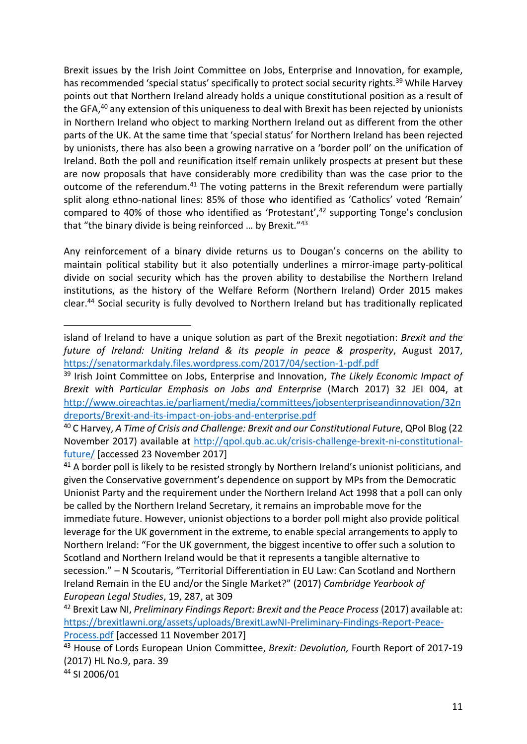Brexit issues by the Irish Joint Committee on Jobs, Enterprise and Innovation, for example, has recommended 'special status' specifically to protect social security rights.<sup>39</sup> While Harvey points out that Northern Ireland already holds a unique constitutional position as a result of the GFA,<sup>40</sup> any extension of this uniqueness to deal with Brexit has been rejected by unionists in Northern Ireland who object to marking Northern Ireland out as different from the other parts of the UK. At the same time that 'special status' for Northern Ireland has been rejected by unionists, there has also been a growing narrative on a 'border poll' on the unification of Ireland. Both the poll and reunification itself remain unlikely prospects at present but these are now proposals that have considerably more credibility than was the case prior to the outcome of the referendum.<sup>41</sup> The voting patterns in the Brexit referendum were partially split along ethno-national lines: 85% of those who identified as 'Catholics' voted 'Remain' compared to 40% of those who identified as 'Protestant', <sup>42</sup> supporting Tonge's conclusion that "the binary divide is being reinforced … by Brexit."<sup>43</sup>

Any reinforcement of a binary divide returns us to Dougan's concerns on the ability to maintain political stability but it also potentially underlines a mirror-image party-political divide on social security which has the proven ability to destabilise the Northern Ireland institutions, as the history of the Welfare Reform (Northern Ireland) Order 2015 makes clear. <sup>44</sup> Social security is fully devolved to Northern Ireland but has traditionally replicated

<sup>41</sup> A border poll is likely to be resisted strongly by Northern Ireland's unionist politicians, and given the Conservative government's dependence on support by MPs from the Democratic Unionist Party and the requirement under the Northern Ireland Act 1998 that a poll can only be called by the Northern Ireland Secretary, it remains an improbable move for the immediate future. However, unionist objections to a border poll might also provide political leverage for the UK government in the extreme, to enable special arrangements to apply to Northern Ireland: "For the UK government, the biggest incentive to offer such a solution to Scotland and Northern Ireland would be that it represents a tangible alternative to secession." – N Scoutaris, "Territorial Differentiation in EU Law: Can Scotland and Northern Ireland Remain in the EU and/or the Single Market?" (2017) *Cambridge Yearbook of European Legal Studies*, 19, 287, at 309

<sup>42</sup> Brexit Law NI, *Preliminary Findings Report: Brexit and the Peace Process* (2017) available at: [https://brexitlawni.org/assets/uploads/BrexitLawNI-Preliminary-Findings-Report-Peace-](https://brexitlawni.org/assets/uploads/BrexitLawNI-Preliminary-Findings-Report-Peace-Process.pdf)

[Process.pdf](https://brexitlawni.org/assets/uploads/BrexitLawNI-Preliminary-Findings-Report-Peace-Process.pdf) [accessed 11 November 2017]

<sup>43</sup> House of Lords European Union Committee, *Brexit: Devolution,* Fourth Report of 2017-19 (2017) HL No.9, para. 39

<sup>44</sup> SI 2006/01

island of Ireland to have a unique solution as part of the Brexit negotiation: *Brexit and the future of Ireland: Uniting Ireland & its people in peace & prosperity*, August 2017, <https://senatormarkdaly.files.wordpress.com/2017/04/section-1-pdf.pdf>

<sup>39</sup> Irish Joint Committee on Jobs, Enterprise and Innovation, *The Likely Economic Impact of Brexit with Particular Emphasis on Jobs and Enterprise* (March 2017) 32 JEI 004, at [http://www.oireachtas.ie/parliament/media/committees/jobsenterpriseandinnovation/32n](http://www.oireachtas.ie/parliament/media/committees/jobsenterpriseandinnovation/32ndreports/Brexit-and-its-impact-on-jobs-and-enterprise.pdf) [dreports/Brexit-and-its-impact-on-jobs-and-enterprise.pdf](http://www.oireachtas.ie/parliament/media/committees/jobsenterpriseandinnovation/32ndreports/Brexit-and-its-impact-on-jobs-and-enterprise.pdf)

<sup>40</sup> C Harvey, *A Time of Crisis and Challenge: Brexit and our Constitutional Future*, QPol Blog (22 November 2017) available at [http://qpol.qub.ac.uk/crisis-challenge-brexit-ni-constitutional](http://qpol.qub.ac.uk/crisis-challenge-brexit-ni-constitutional-future/)[future/](http://qpol.qub.ac.uk/crisis-challenge-brexit-ni-constitutional-future/) [accessed 23 November 2017]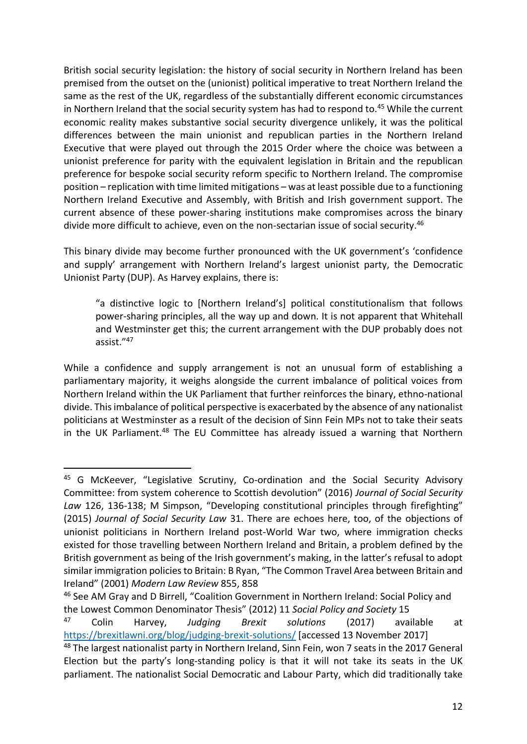British social security legislation: the history of social security in Northern Ireland has been premised from the outset on the (unionist) political imperative to treat Northern Ireland the same as the rest of the UK, regardless of the substantially different economic circumstances in Northern Ireland that the social security system has had to respond to.<sup>45</sup> While the current economic reality makes substantive social security divergence unlikely, it was the political differences between the main unionist and republican parties in the Northern Ireland Executive that were played out through the 2015 Order where the choice was between a unionist preference for parity with the equivalent legislation in Britain and the republican preference for bespoke social security reform specific to Northern Ireland. The compromise position – replication with time limited mitigations – was at least possible due to a functioning Northern Ireland Executive and Assembly, with British and Irish government support. The current absence of these power-sharing institutions make compromises across the binary divide more difficult to achieve, even on the non-sectarian issue of social security.<sup>46</sup>

This binary divide may become further pronounced with the UK government's 'confidence and supply' arrangement with Northern Ireland's largest unionist party, the Democratic Unionist Party (DUP). As Harvey explains, there is:

"a distinctive logic to [Northern Ireland's] political constitutionalism that follows power-sharing principles, all the way up and down. It is not apparent that Whitehall and Westminster get this; the current arrangement with the DUP probably does not assist." 47

While a confidence and supply arrangement is not an unusual form of establishing a parliamentary majority, it weighs alongside the current imbalance of political voices from Northern Ireland within the UK Parliament that further reinforces the binary, ethno-national divide. This imbalance of political perspective is exacerbated by the absence of any nationalist politicians at Westminster as a result of the decision of Sinn Fein MPs not to take their seats in the UK Parliament.<sup>48</sup> The EU Committee has already issued a warning that Northern

<sup>&</sup>lt;sup>45</sup> G McKeever, "Legislative Scrutiny, Co-ordination and the Social Security Advisory Committee: from system coherence to Scottish devolution" (2016) *Journal of Social Security Law* 126, 136-138; M Simpson, "Developing constitutional principles through firefighting" (2015) *Journal of Social Security Law* 31. There are echoes here, too, of the objections of unionist politicians in Northern Ireland post-World War two, where immigration checks existed for those travelling between Northern Ireland and Britain, a problem defined by the British government as being of the Irish government's making, in the latter's refusal to adopt similar immigration policies to Britain: B Ryan, "The Common Travel Area between Britain and Ireland" (2001) *Modern Law Review* 855, 858

<sup>46</sup> See AM Gray and D Birrell, "Coalition Government in Northern Ireland: Social Policy and the Lowest Common Denominator Thesis" (2012) 11 *Social Policy and Society* 15

<sup>47</sup> Colin Harvey, *Judging Brexit solutions* (2017) available at <https://brexitlawni.org/blog/judging-brexit-solutions/> [accessed 13 November 2017]

<sup>48</sup> The largest nationalist party in Northern Ireland, Sinn Fein, won 7 seats in the 2017 General Election but the party's long-standing policy is that it will not take its seats in the UK parliament. The nationalist Social Democratic and Labour Party, which did traditionally take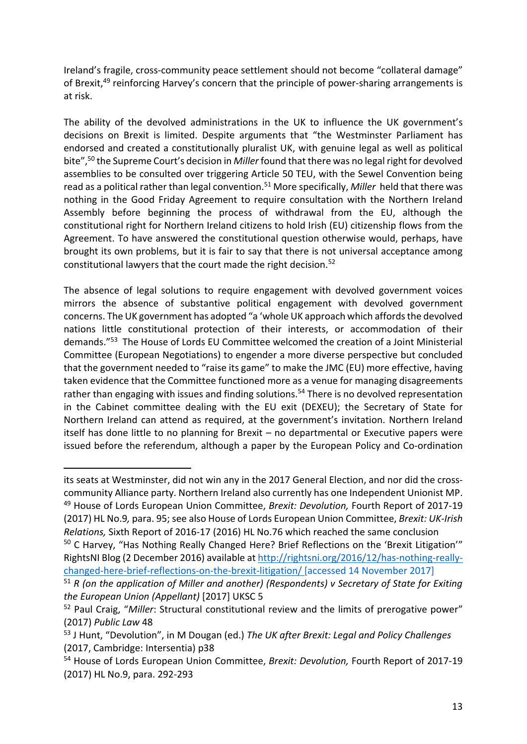Ireland's fragile, cross-community peace settlement should not become "collateral damage" of Brexit,<sup>49</sup> reinforcing Harvey's concern that the principle of power-sharing arrangements is at risk.

The ability of the devolved administrations in the UK to influence the UK government's decisions on Brexit is limited. Despite arguments that "the Westminster Parliament has endorsed and created a constitutionally pluralist UK, with genuine legal as well as political bite",<sup>50</sup> the Supreme Court's decision in *Miller* found that there was no legal right for devolved assemblies to be consulted over triggering Article 50 TEU, with the Sewel Convention being read as a political rather than legal convention.<sup>51</sup> More specifically, *Miller* held that there was nothing in the Good Friday Agreement to require consultation with the Northern Ireland Assembly before beginning the process of withdrawal from the EU, although the constitutional right for Northern Ireland citizens to hold Irish (EU) citizenship flows from the Agreement. To have answered the constitutional question otherwise would, perhaps, have brought its own problems, but it is fair to say that there is not universal acceptance among constitutional lawyers that the court made the right decision.<sup>52</sup>

The absence of legal solutions to require engagement with devolved government voices mirrors the absence of substantive political engagement with devolved government concerns. The UK government has adopted "a 'whole UK approach which affords the devolved nations little constitutional protection of their interests, or accommodation of their demands." <sup>53</sup> The House of Lords EU Committee welcomed the creation of a Joint Ministerial Committee (European Negotiations) to engender a more diverse perspective but concluded that the government needed to "raise its game" to make the JMC (EU) more effective, having taken evidence that the Committee functioned more as a venue for managing disagreements rather than engaging with issues and finding solutions.<sup>54</sup> There is no devolved representation in the Cabinet committee dealing with the EU exit (DEXEU); the Secretary of State for Northern Ireland can attend as required, at the government's invitation. Northern Ireland itself has done little to no planning for Brexit – no departmental or Executive papers were issued before the referendum, although a paper by the European Policy and Co-ordination

its seats at Westminster, did not win any in the 2017 General Election, and nor did the crosscommunity Alliance party. Northern Ireland also currently has one Independent Unionist MP. <sup>49</sup> House of Lords European Union Committee, *Brexit: Devolution,* Fourth Report of 2017-19 (2017) HL No.9*,* para. 95; see also House of Lords European Union Committee, *Brexit: UK-Irish Relations,* Sixth Report of 2016-17 (2016) HL No.76 which reached the same conclusion

<sup>50</sup> C Harvey, "Has Nothing Really Changed Here? Brief Reflections on the 'Brexit Litigation'" RightsNI Blog (2 December 2016) available a[t http://rightsni.org/2016/12/has-nothing-really](http://rightsni.org/2016/12/has-nothing-really-changed-here-brief-reflections-on-the-brexit-litigation/)[changed-here-brief-reflections-on-the-brexit-litigation/](http://rightsni.org/2016/12/has-nothing-really-changed-here-brief-reflections-on-the-brexit-litigation/) [accessed 14 November 2017]

<sup>51</sup> *R (on the application of Miller and another) (Respondents) v Secretary of State for Exiting the European Union (Appellant)* [2017] UKSC 5

<sup>52</sup> Paul Craig, "*Miller*: Structural constitutional review and the limits of prerogative power" (2017) *Public Law* 48

<sup>53</sup> J Hunt, "Devolution", in M Dougan (ed.) *The UK after Brexit: Legal and Policy Challenges* (2017, Cambridge: Intersentia) p38

<sup>54</sup> House of Lords European Union Committee, *Brexit: Devolution,* Fourth Report of 2017-19 (2017) HL No.9, para. 292-293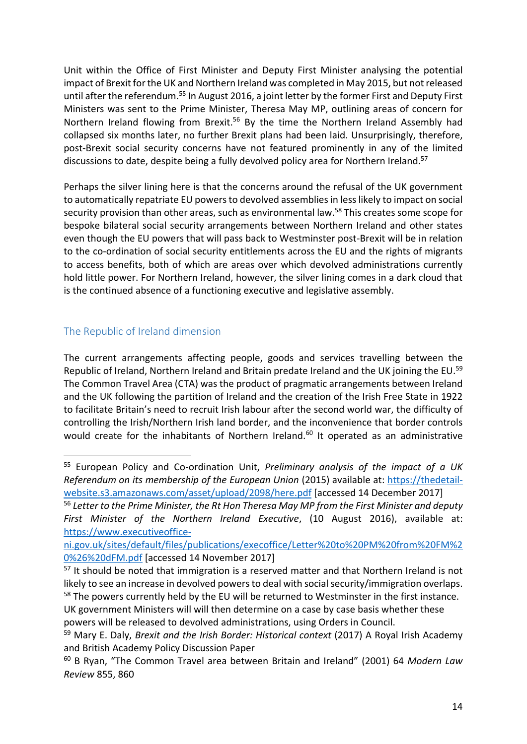Unit within the Office of First Minister and Deputy First Minister analysing the potential impact of Brexit for the UK and Northern Ireland was completed in May 2015, but not released until after the referendum.<sup>55</sup> In August 2016, a joint letter by the former First and Deputy First Ministers was sent to the Prime Minister, Theresa May MP, outlining areas of concern for Northern Ireland flowing from Brexit.<sup>56</sup> By the time the Northern Ireland Assembly had collapsed six months later, no further Brexit plans had been laid. Unsurprisingly, therefore, post-Brexit social security concerns have not featured prominently in any of the limited discussions to date, despite being a fully devolved policy area for Northern Ireland.<sup>57</sup>

Perhaps the silver lining here is that the concerns around the refusal of the UK government to automatically repatriate EU powers to devolved assemblies in less likely to impact on social security provision than other areas, such as environmental law. <sup>58</sup> This creates some scope for bespoke bilateral social security arrangements between Northern Ireland and other states even though the EU powers that will pass back to Westminster post-Brexit will be in relation to the co-ordination of social security entitlements across the EU and the rights of migrants to access benefits, both of which are areas over which devolved administrations currently hold little power. For Northern Ireland, however, the silver lining comes in a dark cloud that is the continued absence of a functioning executive and legislative assembly.

## The Republic of Ireland dimension

**.** 

The current arrangements affecting people, goods and services travelling between the Republic of Ireland, Northern Ireland and Britain predate Ireland and the UK joining the EU.<sup>59</sup> The Common Travel Area (CTA) was the product of pragmatic arrangements between Ireland and the UK following the partition of Ireland and the creation of the Irish Free State in 1922 to facilitate Britain's need to recruit Irish labour after the second world war, the difficulty of controlling the Irish/Northern Irish land border, and the inconvenience that border controls would create for the inhabitants of Northern Ireland.<sup>60</sup> It operated as an administrative

<sup>55</sup> European Policy and Co-ordination Unit, *Preliminary analysis of the impact of a UK Referendum on its membership of the European Union* (2015) available at: [https://thedetail](https://thedetail-website.s3.amazonaws.com/asset/upload/2098/here.pdf)[website.s3.amazonaws.com/asset/upload/2098/here.pdf](https://thedetail-website.s3.amazonaws.com/asset/upload/2098/here.pdf) [accessed 14 December 2017]

<sup>56</sup> *Letter to the Prime Minister, the Rt Hon Theresa May MP from the First Minister and deputy First Minister of the Northern Ireland Executive*, (10 August 2016), available at: [https://www.executiveoffice-](https://www.executiveoffice-ni.gov.uk/sites/default/files/publications/execoffice/Letter%20to%20PM%20from%20FM%20%26%20dFM.pdf)

[ni.gov.uk/sites/default/files/publications/execoffice/Letter%20to%20PM%20from%20FM%2](https://www.executiveoffice-ni.gov.uk/sites/default/files/publications/execoffice/Letter%20to%20PM%20from%20FM%20%26%20dFM.pdf) [0%26%20dFM.pdf](https://www.executiveoffice-ni.gov.uk/sites/default/files/publications/execoffice/Letter%20to%20PM%20from%20FM%20%26%20dFM.pdf) [accessed 14 November 2017]

<sup>&</sup>lt;sup>57</sup> It should be noted that immigration is a reserved matter and that Northern Ireland is not likely to see an increase in devolved powers to deal with social security/immigration overlaps. <sup>58</sup> The powers currently held by the EU will be returned to Westminster in the first instance.

UK government Ministers will will then determine on a case by case basis whether these powers will be released to devolved administrations, using Orders in Council.

<sup>59</sup> Mary E. Daly, *Brexit and the Irish Border: Historical context* (2017) A Royal Irish Academy and British Academy Policy Discussion Paper

<sup>60</sup> B Ryan, "The Common Travel area between Britain and Ireland" (2001) 64 *Modern Law Review* 855, 860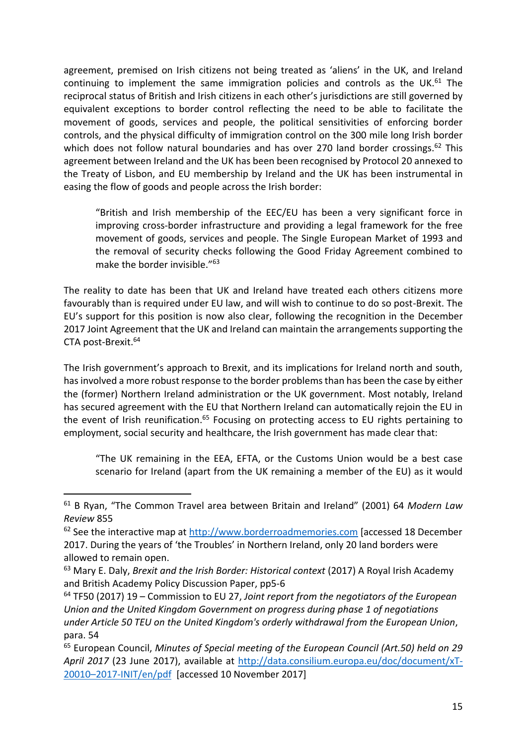agreement, premised on Irish citizens not being treated as 'aliens' in the UK, and Ireland continuing to implement the same immigration policies and controls as the UK.<sup>61</sup> The reciprocal status of British and Irish citizens in each other's jurisdictions are still governed by equivalent exceptions to border control reflecting the need to be able to facilitate the movement of goods, services and people, the political sensitivities of enforcing border controls, and the physical difficulty of immigration control on the 300 mile long Irish border which does not follow natural boundaries and has over 270 land border crossings.<sup>62</sup> This agreement between Ireland and the UK has been been recognised by Protocol 20 annexed to the Treaty of Lisbon, and EU membership by Ireland and the UK has been instrumental in easing the flow of goods and people across the Irish border:

"British and Irish membership of the EEC/EU has been a very significant force in improving cross-border infrastructure and providing a legal framework for the free movement of goods, services and people. The Single European Market of 1993 and the removal of security checks following the Good Friday Agreement combined to make the border invisible."<sup>63</sup>

The reality to date has been that UK and Ireland have treated each others citizens more favourably than is required under EU law, and will wish to continue to do so post-Brexit. The EU's support for this position is now also clear, following the recognition in the December 2017 Joint Agreement that the UK and Ireland can maintain the arrangements supporting the CTA post-Brexit. 64

The Irish government's approach to Brexit, and its implications for Ireland north and south, has involved a more robust response to the border problems than has been the case by either the (former) Northern Ireland administration or the UK government. Most notably, Ireland has secured agreement with the EU that Northern Ireland can automatically rejoin the EU in the event of Irish reunification.<sup>65</sup> Focusing on protecting access to EU rights pertaining to employment, social security and healthcare, the Irish government has made clear that:

"The UK remaining in the EEA, EFTA, or the Customs Union would be a best case scenario for Ireland (apart from the UK remaining a member of the EU) as it would

<sup>61</sup> B Ryan, "The Common Travel area between Britain and Ireland" (2001) 64 *Modern Law Review* 855

 $62$  See the interactive map at [http://www.borderroadmemories.com](http://www.borderroadmemories.com/) [accessed 18 December 2017. During the years of 'the Troubles' in Northern Ireland, only 20 land borders were allowed to remain open.

<sup>63</sup> Mary E. Daly, *Brexit and the Irish Border: Historical context* (2017) A Royal Irish Academy and British Academy Policy Discussion Paper, pp5-6

<sup>64</sup> TF50 (2017) 19 – Commission to EU 27, *Joint report from the negotiators of the European Union and the United Kingdom Government on progress during phase 1 of negotiations under Article 50 TEU on the United Kingdom's orderly withdrawal from the European Union*, para. 54

<sup>65</sup> European Council, *Minutes of Special meeting of the European Council (Art.50) held on 29 April 2017* (23 June 2017), available at [http://data.consilium.europa.eu/doc/document/xT-](http://data.consilium.europa.eu/doc/document/xT-20010–2017-INIT/en/pdf)20010–[2017-INIT/en/pdf](http://data.consilium.europa.eu/doc/document/xT-20010–2017-INIT/en/pdf) [accessed 10 November 2017]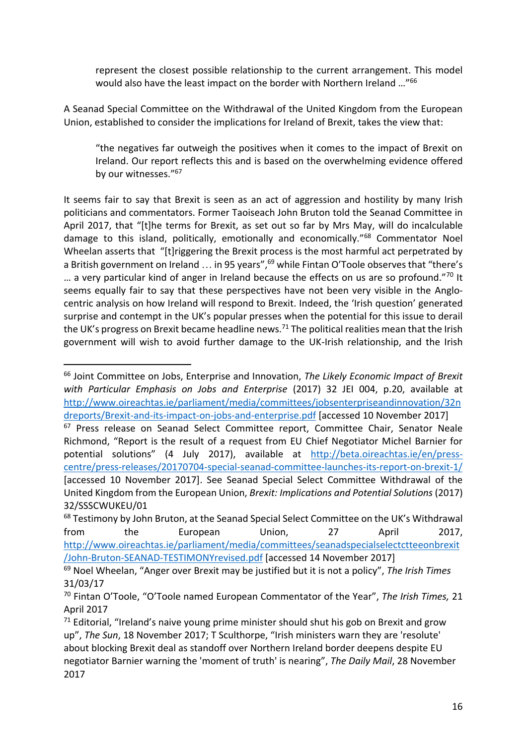represent the closest possible relationship to the current arrangement. This model would also have the least impact on the border with Northern Ireland …"<sup>66</sup>

A Seanad Special Committee on the Withdrawal of the United Kingdom from the European Union, established to consider the implications for Ireland of Brexit, takes the view that:

"the negatives far outweigh the positives when it comes to the impact of Brexit on Ireland. Our report reflects this and is based on the overwhelming evidence offered by our witnesses."<sup>67</sup>

It seems fair to say that Brexit is seen as an act of aggression and hostility by many Irish politicians and commentators. Former Taoiseach John Bruton told the Seanad Committee in April 2017, that "[t]he terms for Brexit, as set out so far by Mrs May, will do incalculable damage to this island, politically, emotionally and economically."<sup>68</sup> Commentator Noel Wheelan asserts that "[t]riggering the Brexit process is the most harmful act perpetrated by a British government on Ireland ... in 95 years",<sup>69</sup> while Fintan O'Toole observes that "there's  $\ldots$  a very particular kind of anger in Ireland because the effects on us are so profound."<sup>70</sup> It seems equally fair to say that these perspectives have not been very visible in the Anglocentric analysis on how Ireland will respond to Brexit. Indeed, the 'Irish question' generated surprise and contempt in the UK's popular presses when the potential for this issue to derail the UK's progress on Brexit became headline news.<sup>71</sup> The political realities mean that the Irish government will wish to avoid further damage to the UK-Irish relationship, and the Irish

<sup>66</sup> Joint Committee on Jobs, Enterprise and Innovation, *The Likely Economic Impact of Brexit with Particular Emphasis on Jobs and Enterprise* (2017) 32 JEI 004, p.20, available at [http://www.oireachtas.ie/parliament/media/committees/jobsenterpriseandinnovation/32n](http://www.oireachtas.ie/parliament/media/committees/jobsenterpriseandinnovation/32ndreports/Brexit-and-its-impact-on-jobs-and-enterprise.pdf) [dreports/Brexit-and-its-impact-on-jobs-and-enterprise.pdf](http://www.oireachtas.ie/parliament/media/committees/jobsenterpriseandinnovation/32ndreports/Brexit-and-its-impact-on-jobs-and-enterprise.pdf) [accessed 10 November 2017]

<sup>&</sup>lt;sup>67</sup> Press release on Seanad Select Committee report, Committee Chair, Senator Neale Richmond, "Report is the result of a request from EU Chief Negotiator Michel Barnier for potential solutions" (4 July 2017), available at [http://beta.oireachtas.ie/en/press](http://beta.oireachtas.ie/en/press-centre/press-releases/20170704-special-seanad-committee-launches-its-report-on-brexit-1/)[centre/press-releases/20170704-special-seanad-committee-launches-its-report-on-brexit-1/](http://beta.oireachtas.ie/en/press-centre/press-releases/20170704-special-seanad-committee-launches-its-report-on-brexit-1/) [accessed 10 November 2017]. See Seanad Special Select Committee Withdrawal of the United Kingdom from the European Union, *Brexit: Implications and Potential Solutions* (2017) 32/SSSCWUKEU/01

<sup>&</sup>lt;sup>68</sup> Testimony by John Bruton, at the Seanad Special Select Committee on the UK's Withdrawal from the European Union, 27 April 2017, [http://www.oireachtas.ie/parliament/media/committees/seanadspecialselectctteeonbrexit](http://www.oireachtas.ie/parliament/media/committees/seanadspecialselectctteeonbrexit/John-Bruton-SEANAD-TESTIMONYrevised.pdf) [/John-Bruton-SEANAD-TESTIMONYrevised.pdf](http://www.oireachtas.ie/parliament/media/committees/seanadspecialselectctteeonbrexit/John-Bruton-SEANAD-TESTIMONYrevised.pdf) [accessed 14 November 2017]

<sup>69</sup> Noel Wheelan, "Anger over Brexit may be justified but it is not a policy", *The Irish Times* 31/03/17

<sup>70</sup> Fintan O'Toole, "O'Toole named European Commentator of the Year", *The Irish Times,* 21 April 2017

 $71$  Editorial, "Ireland's naive young prime minister should shut his gob on Brexit and grow up", *The Sun*, 18 November 2017; T Sculthorpe, "Irish ministers warn they are 'resolute' about blocking Brexit deal as standoff over Northern Ireland border deepens despite EU negotiator Barnier warning the 'moment of truth' is nearing", *The Daily Mail*, 28 November 2017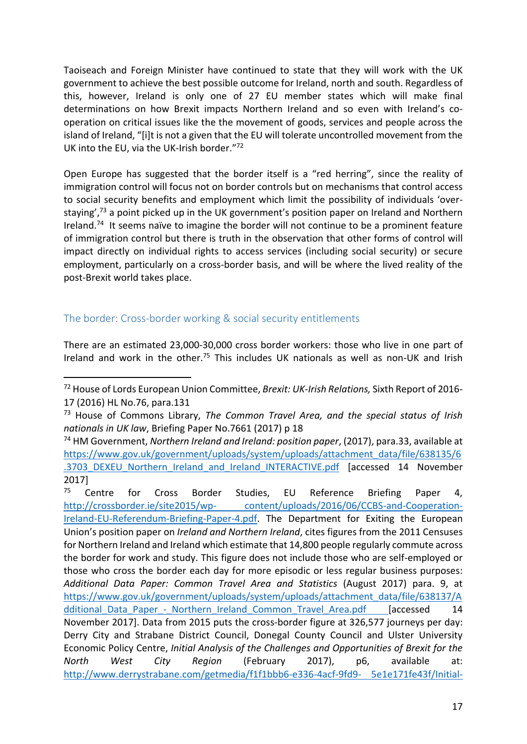Taoiseach and Foreign Minister have continued to state that they will work with the UK government to achieve the best possible outcome for Ireland, north and south. Regardless of this, however, Ireland is only one of 27 EU member states which will make final determinations on how Brexit impacts Northern Ireland and so even with Ireland's cooperation on critical issues like the the movement of goods, services and people across the island of Ireland, "[i]t is not a given that the EU will tolerate uncontrolled movement from the UK into the EU, via the UK-Irish border."72

Open Europe has suggested that the border itself is a "red herring", since the reality of immigration control will focus not on border controls but on mechanisms that control access to social security benefits and employment which limit the possibility of individuals 'overstaying',<sup>73</sup> a point picked up in the UK government's position paper on Ireland and Northern Ireland.<sup>74</sup> It seems naïve to imagine the border will not continue to be a prominent feature of immigration control but there is truth in the observation that other forms of control will impact directly on individual rights to access services (including social security) or secure employment, particularly on a cross-border basis, and will be where the lived reality of the post-Brexit world takes place.

### The border: Cross-border working & social security entitlements

**.** 

There are an estimated 23,000-30,000 cross border workers: those who live in one part of Ireland and work in the other.<sup>75</sup> This includes UK nationals as well as non-UK and Irish

<sup>72</sup> House of Lords European Union Committee, *Brexit: UK-Irish Relations,* Sixth Report of 2016- 17 (2016) HL No.76, para.131

<sup>73</sup> House of Commons Library, *The Common Travel Area, and the special status of Irish nationals in UK law*, Briefing Paper No.7661 (2017) p 18

<sup>74</sup> HM Government, *Northern Ireland and Ireland: position paper*, (2017), para.33, available at [https://www.gov.uk/government/uploads/system/uploads/attachment\\_data/file/638135/6](https://www.gov.uk/government/uploads/system/uploads/attachment_data/file/638135/6.3703_DEXEU_Northern_Ireland_and_Ireland_INTERACTIVE.pdf) [.3703\\_DEXEU\\_Northern\\_Ireland\\_and\\_Ireland\\_INTERACTIVE.pdf](https://www.gov.uk/government/uploads/system/uploads/attachment_data/file/638135/6.3703_DEXEU_Northern_Ireland_and_Ireland_INTERACTIVE.pdf) [accessed 14 November 2017]

<sup>&</sup>lt;sup>75</sup> Centre for Cross Border Studies, EU Reference Briefing Paper 4, http://crossborder.ie/site2015/wp- [content/uploads/2016/06/CCBS-and-Cooperation-](http://crossborder.ie/site2015/wp-%20content/uploads/2016/06/CCBS-and-Cooperation-Ireland-EU-Referendum-Briefing-Paper-4.pdf)[Ireland-EU-Referendum-Briefing-Paper-4.pdf.](http://crossborder.ie/site2015/wp-%20content/uploads/2016/06/CCBS-and-Cooperation-Ireland-EU-Referendum-Briefing-Paper-4.pdf) The Department for Exiting the European Union's position paper on *Ireland and Northern Ireland*, cites figures from the 2011 Censuses for Northern Ireland and Ireland which estimate that 14,800 people regularly commute across the border for work and study. This figure does not include those who are self-employed or those who cross the border each day for more episodic or less regular business purposes: *Additional Data Paper: Common Travel Area and Statistics* (August 2017) para. 9, at [https://www.gov.uk/government/uploads/system/uploads/attachment\\_data/file/638137/A](https://www.gov.uk/government/uploads/system/uploads/attachment_data/file/638137/Additional_Data_Paper_-_Northern_Ireland_Common_Travel_Area.pdf) dditional Data Paper - Northern Ireland Common Travel Area.pdf [accessed 14 November 2017]. Data from 2015 puts the cross-border figure at 326,577 journeys per day: Derry City and Strabane District Council, Donegal County Council and Ulster University Economic Policy Centre, *Initial Analysis of the Challenges and Opportunities of Brexit for the North West City Region* (February 2017), p6, available at: [http://www.derrystrabane.com/getmedia/f1f1bbb6-e336-4acf-9fd9-](http://www.derrystrabane.com/getmedia/f1f1bbb6-e336-4acf-9fd9-%205e1e171fe43f/Initial-Analysis-of-the-Challenges-and-Opportunities-of-Brexit-for-the-North-West-%20City-Region-150217.pdf) 5e1e171fe43f/Initial-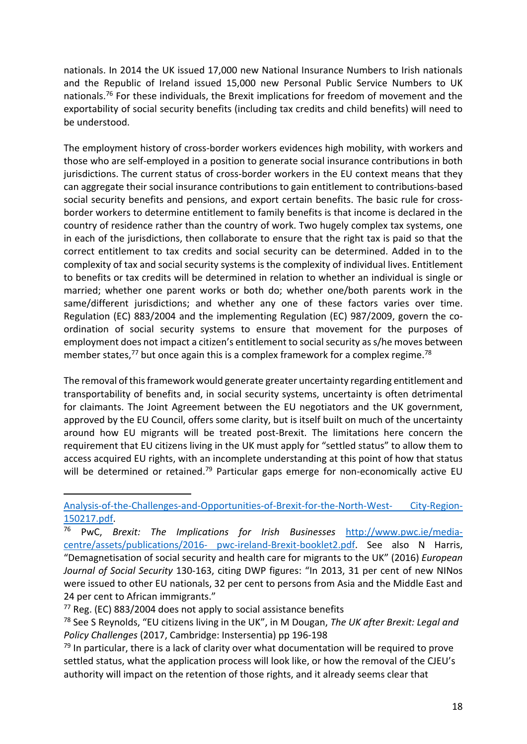nationals. In 2014 the UK issued 17,000 new National Insurance Numbers to Irish nationals and the Republic of Ireland issued 15,000 new Personal Public Service Numbers to UK nationals.<sup>76</sup> For these individuals, the Brexit implications for freedom of movement and the exportability of social security benefits (including tax credits and child benefits) will need to be understood.

The employment history of cross-border workers evidences high mobility, with workers and those who are self-employed in a position to generate social insurance contributions in both jurisdictions. The current status of cross-border workers in the EU context means that they can aggregate their social insurance contributions to gain entitlement to contributions-based social security benefits and pensions, and export certain benefits. The basic rule for crossborder workers to determine entitlement to family benefits is that income is declared in the country of residence rather than the country of work. Two hugely complex tax systems, one in each of the jurisdictions, then collaborate to ensure that the right tax is paid so that the correct entitlement to tax credits and social security can be determined. Added in to the complexity of tax and social security systems is the complexity of individual lives. Entitlement to benefits or tax credits will be determined in relation to whether an individual is single or married; whether one parent works or both do; whether one/both parents work in the same/different jurisdictions; and whether any one of these factors varies over time. Regulation (EC) 883/2004 and the implementing Regulation (EC) 987/2009, govern the coordination of social security systems to ensure that movement for the purposes of employment does not impact a citizen's entitlement to social security as s/he moves between member states, $^{77}$  but once again this is a complex framework for a complex regime.<sup>78</sup>

The removal of this framework would generate greater uncertainty regarding entitlement and transportability of benefits and, in social security systems, uncertainty is often detrimental for claimants. The Joint Agreement between the EU negotiators and the UK government, approved by the EU Council, offers some clarity, but is itself built on much of the uncertainty around how EU migrants will be treated post-Brexit. The limitations here concern the requirement that EU citizens living in the UK must apply for "settled status" to allow them to access acquired EU rights, with an incomplete understanding at this point of how that status will be determined or retained.<sup>79</sup> Particular gaps emerge for non-economically active EU

[Analysis-of-the-Challenges-and-Opportunities-of-Brexit-for-the-North-West-](http://www.derrystrabane.com/getmedia/f1f1bbb6-e336-4acf-9fd9-%205e1e171fe43f/Initial-Analysis-of-the-Challenges-and-Opportunities-of-Brexit-for-the-North-West-%20City-Region-150217.pdf) City-Region-[150217.pdf.](http://www.derrystrabane.com/getmedia/f1f1bbb6-e336-4acf-9fd9-%205e1e171fe43f/Initial-Analysis-of-the-Challenges-and-Opportunities-of-Brexit-for-the-North-West-%20City-Region-150217.pdf)<br><sup>76</sup> PWC B

<sup>76</sup> PwC, *Brexit: The Implications for Irish Businesses* [http://www.pwc.ie/media](http://www.pwc.ie/media-centre/assets/publications/2016-%20pwc-ireland-Brexit-booklet2.pdf)[centre/assets/publications/2016-](http://www.pwc.ie/media-centre/assets/publications/2016-%20pwc-ireland-Brexit-booklet2.pdf) pwc-ireland-Brexit-booklet2.pdf. See also N Harris, "Demagnetisation of social security and health care for migrants to the UK" (2016) *European Journal of Social Security* 130-163, citing DWP figures: "In 2013, 31 per cent of new NINos were issued to other EU nationals, 32 per cent to persons from Asia and the Middle East and 24 per cent to African immigrants."

 $77$  Reg. (EC) 883/2004 does not apply to social assistance benefits

<sup>78</sup> See S Reynolds, "EU citizens living in the UK", in M Dougan, *The UK after Brexit: Legal and Policy Challenges* (2017, Cambridge: Instersentia) pp 196-198

 $79$  In particular, there is a lack of clarity over what documentation will be required to prove settled status, what the application process will look like, or how the removal of the CJEU's authority will impact on the retention of those rights, and it already seems clear that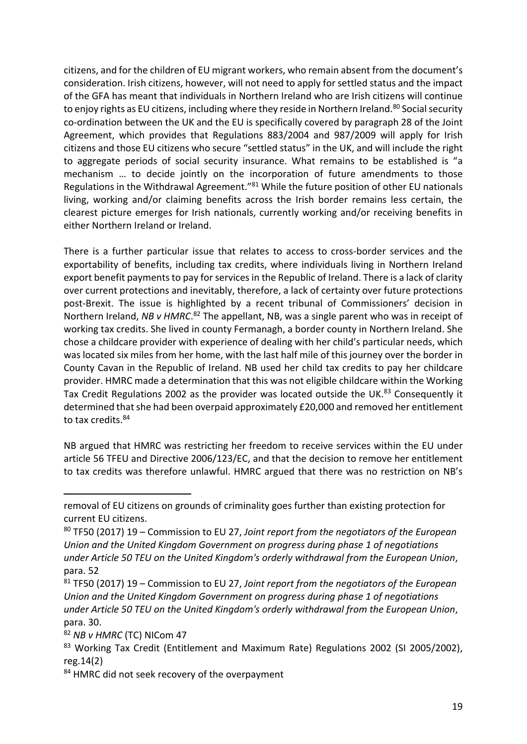citizens, and for the children of EU migrant workers, who remain absent from the document's consideration. Irish citizens, however, will not need to apply for settled status and the impact of the GFA has meant that individuals in Northern Ireland who are Irish citizens will continue to enjoy rights as EU citizens, including where they reside in Northern Ireland.<sup>80</sup> Social security co-ordination between the UK and the EU is specifically covered by paragraph 28 of the Joint Agreement, which provides that Regulations 883/2004 and 987/2009 will apply for Irish citizens and those EU citizens who secure "settled status" in the UK, and will include the right to aggregate periods of social security insurance. What remains to be established is "a mechanism … to decide jointly on the incorporation of future amendments to those Regulations in the Withdrawal Agreement."<sup>81</sup> While the future position of other EU nationals living, working and/or claiming benefits across the Irish border remains less certain, the clearest picture emerges for Irish nationals, currently working and/or receiving benefits in either Northern Ireland or Ireland.

There is a further particular issue that relates to access to cross-border services and the exportability of benefits, including tax credits, where individuals living in Northern Ireland export benefit payments to pay for services in the Republic of Ireland. There is a lack of clarity over current protections and inevitably, therefore, a lack of certainty over future protections post-Brexit. The issue is highlighted by a recent tribunal of Commissioners' decision in Northern Ireland, NB v HMRC.<sup>82</sup> The appellant, NB, was a single parent who was in receipt of working tax credits. She lived in county Fermanagh, a border county in Northern Ireland. She chose a childcare provider with experience of dealing with her child's particular needs, which was located six miles from her home, with the last half mile of this journey over the border in County Cavan in the Republic of Ireland. NB used her child tax credits to pay her childcare provider. HMRC made a determination that this was not eligible childcare within the Working Tax Credit Regulations 2002 as the provider was located outside the UK.<sup>83</sup> Consequently it determined that she had been overpaid approximately £20,000 and removed her entitlement to tax credits.<sup>84</sup>

NB argued that HMRC was restricting her freedom to receive services within the EU under article 56 TFEU and Directive 2006/123/EC, and that the decision to remove her entitlement to tax credits was therefore unlawful. HMRC argued that there was no restriction on NB's

removal of EU citizens on grounds of criminality goes further than existing protection for current EU citizens.

<sup>80</sup> TF50 (2017) 19 – Commission to EU 27, *Joint report from the negotiators of the European Union and the United Kingdom Government on progress during phase 1 of negotiations under Article 50 TEU on the United Kingdom's orderly withdrawal from the European Union*, para. 52

<sup>81</sup> TF50 (2017) 19 – Commission to EU 27, *Joint report from the negotiators of the European Union and the United Kingdom Government on progress during phase 1 of negotiations under Article 50 TEU on the United Kingdom's orderly withdrawal from the European Union*, para. 30.

<sup>82</sup> *NB v HMRC* (TC) NICom 47

<sup>83</sup> Working Tax Credit (Entitlement and Maximum Rate) Regulations 2002 (SI 2005/2002), reg.14(2)

<sup>84</sup> HMRC did not seek recovery of the overpayment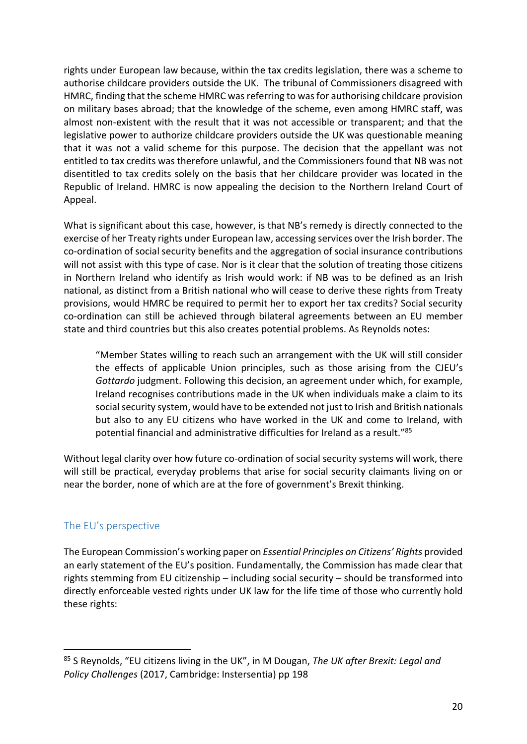rights under European law because, within the tax credits legislation, there was a scheme to authorise childcare providers outside the UK. The tribunal of Commissioners disagreed with HMRC, finding that the scheme HMRC was referring to was for authorising childcare provision on military bases abroad; that the knowledge of the scheme, even among HMRC staff, was almost non-existent with the result that it was not accessible or transparent; and that the legislative power to authorize childcare providers outside the UK was questionable meaning that it was not a valid scheme for this purpose. The decision that the appellant was not entitled to tax credits was therefore unlawful, and the Commissioners found that NB was not disentitled to tax credits solely on the basis that her childcare provider was located in the Republic of Ireland. HMRC is now appealing the decision to the Northern Ireland Court of Appeal.

What is significant about this case, however, is that NB's remedy is directly connected to the exercise of her Treaty rights under European law, accessing services over the Irish border. The co-ordination of social security benefits and the aggregation of social insurance contributions will not assist with this type of case. Nor is it clear that the solution of treating those citizens in Northern Ireland who identify as Irish would work: if NB was to be defined as an Irish national, as distinct from a British national who will cease to derive these rights from Treaty provisions, would HMRC be required to permit her to export her tax credits? Social security co-ordination can still be achieved through bilateral agreements between an EU member state and third countries but this also creates potential problems. As Reynolds notes:

"Member States willing to reach such an arrangement with the UK will still consider the effects of applicable Union principles, such as those arising from the CJEU's *Gottardo* judgment. Following this decision, an agreement under which, for example, Ireland recognises contributions made in the UK when individuals make a claim to its social security system, would have to be extended not just to Irish and British nationals but also to any EU citizens who have worked in the UK and come to Ireland, with potential financial and administrative difficulties for Ireland as a result."<sup>85</sup>

Without legal clarity over how future co-ordination of social security systems will work, there will still be practical, everyday problems that arise for social security claimants living on or near the border, none of which are at the fore of government's Brexit thinking.

### The EU's perspective

**.** 

The European Commission's working paper on *Essential Principles on Citizens' Rights* provided an early statement of the EU's position. Fundamentally, the Commission has made clear that rights stemming from EU citizenship – including social security – should be transformed into directly enforceable vested rights under UK law for the life time of those who currently hold these rights:

<sup>85</sup> S Reynolds, "EU citizens living in the UK", in M Dougan, *The UK after Brexit: Legal and Policy Challenges* (2017, Cambridge: Instersentia) pp 198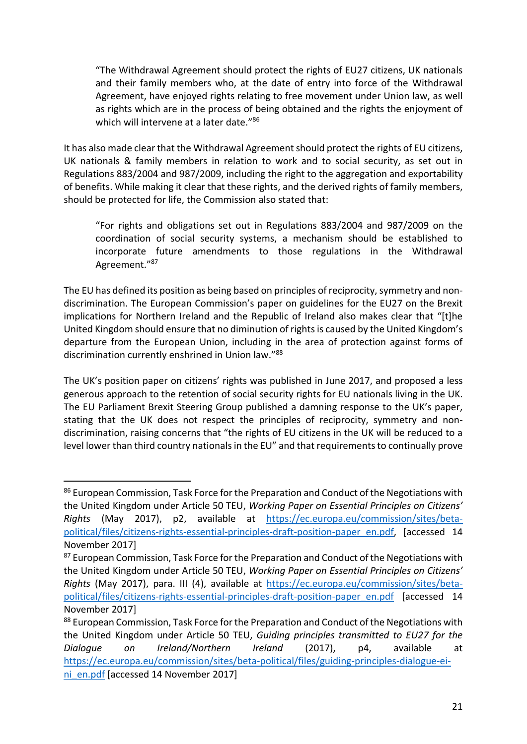"The Withdrawal Agreement should protect the rights of EU27 citizens, UK nationals and their family members who, at the date of entry into force of the Withdrawal Agreement, have enjoyed rights relating to free movement under Union law, as well as rights which are in the process of being obtained and the rights the enjoyment of which will intervene at a later date."<sup>86</sup>

It has also made clear that the Withdrawal Agreement should protect the rights of EU citizens, UK nationals & family members in relation to work and to social security, as set out in Regulations 883/2004 and 987/2009, including the right to the aggregation and exportability of benefits. While making it clear that these rights, and the derived rights of family members, should be protected for life, the Commission also stated that:

"For rights and obligations set out in Regulations 883/2004 and 987/2009 on the coordination of social security systems, a mechanism should be established to incorporate future amendments to those regulations in the Withdrawal Agreement."<sup>87</sup>

The EU has defined its position as being based on principles of reciprocity, symmetry and nondiscrimination. The European Commission's paper on guidelines for the EU27 on the Brexit implications for Northern Ireland and the Republic of Ireland also makes clear that "[t]he United Kingdom should ensure that no diminution of rights is caused by the United Kingdom's departure from the European Union, including in the area of protection against forms of discrimination currently enshrined in Union law."<sup>88</sup>

The UK's position paper on citizens' rights was published in June 2017, and proposed a less generous approach to the retention of social security rights for EU nationals living in the UK. The EU Parliament Brexit Steering Group published a damning response to the UK's paper, stating that the UK does not respect the principles of reciprocity, symmetry and nondiscrimination, raising concerns that "the rights of EU citizens in the UK will be reduced to a level lower than third country nationals in the EU" and that requirements to continually prove

<sup>86</sup> European Commission, Task Force for the Preparation and Conduct of the Negotiations with the United Kingdom under Article 50 TEU, *Working Paper on Essential Principles on Citizens' Rights* (May 2017), p2, available at [https://ec.europa.eu/commission/sites/beta](https://ec.europa.eu/commission/sites/beta-political/files/citizens-rights-essential-principles-draft-position-paper_en.pdf)[political/files/citizens-rights-essential-principles-draft-position-paper\\_en.pdf,](https://ec.europa.eu/commission/sites/beta-political/files/citizens-rights-essential-principles-draft-position-paper_en.pdf) [accessed 14 November 2017]

<sup>&</sup>lt;sup>87</sup> European Commission, Task Force for the Preparation and Conduct of the Negotiations with the United Kingdom under Article 50 TEU, *Working Paper on Essential Principles on Citizens' Rights* (May 2017), para. III (4), available at [https://ec.europa.eu/commission/sites/beta](https://ec.europa.eu/commission/sites/beta-political/files/citizens-rights-essential-principles-draft-position-paper_en.pdf)[political/files/citizens-rights-essential-principles-draft-position-paper\\_en.pdf](https://ec.europa.eu/commission/sites/beta-political/files/citizens-rights-essential-principles-draft-position-paper_en.pdf) [accessed 14 November 2017]

<sup>88</sup> European Commission, Task Force for the Preparation and Conduct of the Negotiations with the United Kingdom under Article 50 TEU, *Guiding principles transmitted to EU27 for the Dialogue on Ireland/Northern Ireland* (2017), p4, available at [https://ec.europa.eu/commission/sites/beta-political/files/guiding-principles-dialogue-ei](https://ec.europa.eu/commission/sites/beta-political/files/guiding-principles-dialogue-ei-ni_en.pdf)[ni\\_en.pdf](https://ec.europa.eu/commission/sites/beta-political/files/guiding-principles-dialogue-ei-ni_en.pdf) [accessed 14 November 2017]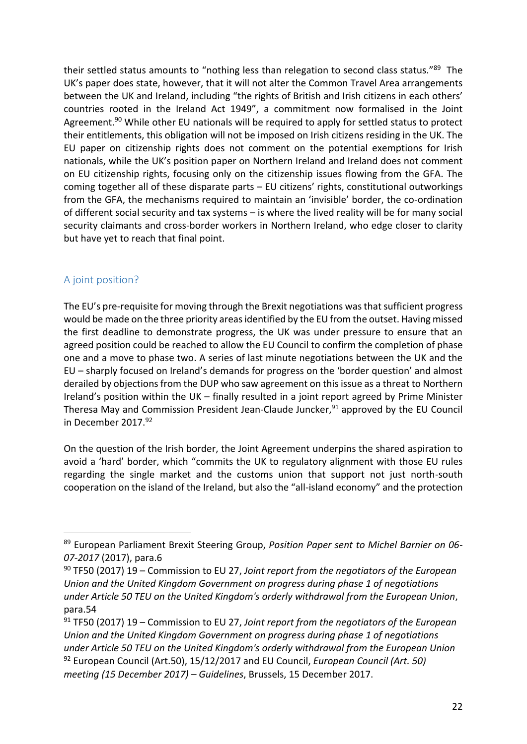their settled status amounts to "nothing less than relegation to second class status."<sup>89</sup> The UK's paper does state, however, that it will not alter the Common Travel Area arrangements between the UK and Ireland, including "the rights of British and Irish citizens in each others' countries rooted in the Ireland Act 1949", a commitment now formalised in the Joint Agreement.<sup>90</sup> While other EU nationals will be required to apply for settled status to protect their entitlements, this obligation will not be imposed on Irish citizens residing in the UK. The EU paper on citizenship rights does not comment on the potential exemptions for Irish nationals, while the UK's position paper on Northern Ireland and Ireland does not comment on EU citizenship rights, focusing only on the citizenship issues flowing from the GFA. The coming together all of these disparate parts – EU citizens' rights, constitutional outworkings from the GFA, the mechanisms required to maintain an 'invisible' border, the co-ordination of different social security and tax systems – is where the lived reality will be for many social security claimants and cross-border workers in Northern Ireland, who edge closer to clarity but have yet to reach that final point.

## A joint position?

**.** 

The EU's pre-requisite for moving through the Brexit negotiations was that sufficient progress would be made on the three priority areas identified by the EU from the outset. Having missed the first deadline to demonstrate progress, the UK was under pressure to ensure that an agreed position could be reached to allow the EU Council to confirm the completion of phase one and a move to phase two. A series of last minute negotiations between the UK and the EU – sharply focused on Ireland's demands for progress on the 'border question' and almost derailed by objections from the DUP who saw agreement on this issue as a threat to Northern Ireland's position within the UK – finally resulted in a joint report agreed by Prime Minister Theresa May and Commission President Jean-Claude Juncker,<sup>91</sup> approved by the EU Council in December 2017.<sup>92</sup>

On the question of the Irish border, the Joint Agreement underpins the shared aspiration to avoid a 'hard' border, which "commits the UK to regulatory alignment with those EU rules regarding the single market and the customs union that support not just north-south cooperation on the island of the Ireland, but also the "all-island economy" and the protection

<sup>89</sup> European Parliament Brexit Steering Group, *Position Paper sent to Michel Barnier on 06- 07-2017* (2017), para.6

<sup>90</sup> TF50 (2017) 19 – Commission to EU 27, *Joint report from the negotiators of the European Union and the United Kingdom Government on progress during phase 1 of negotiations under Article 50 TEU on the United Kingdom's orderly withdrawal from the European Union*, para.54

<sup>91</sup> TF50 (2017) 19 – Commission to EU 27, *Joint report from the negotiators of the European Union and the United Kingdom Government on progress during phase 1 of negotiations under Article 50 TEU on the United Kingdom's orderly withdrawal from the European Union* <sup>92</sup> European Council (Art.50), 15/12/2017 and EU Council, *European Council (Art. 50) meeting (15 December 2017) – Guidelines*, Brussels, 15 December 2017.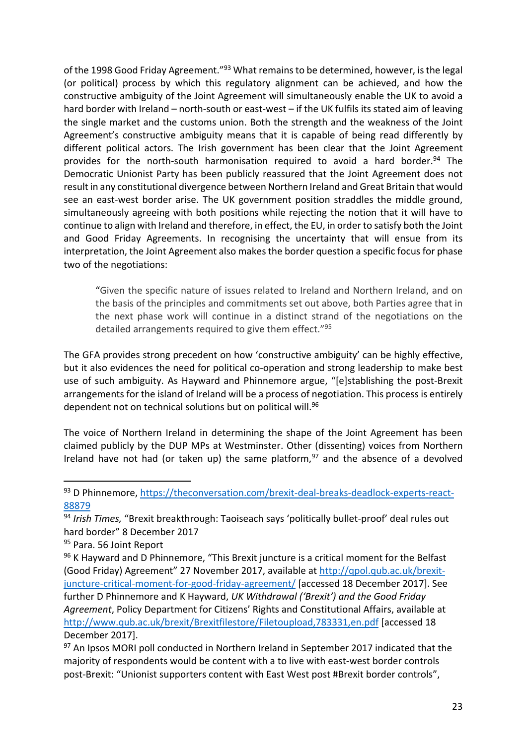of the 1998 Good Friday Agreement."<sup>93</sup> What remains to be determined, however, is the legal (or political) process by which this regulatory alignment can be achieved, and how the constructive ambiguity of the Joint Agreement will simultaneously enable the UK to avoid a hard border with Ireland – north-south or east-west – if the UK fulfils its stated aim of leaving the single market and the customs union. Both the strength and the weakness of the Joint Agreement's constructive ambiguity means that it is capable of being read differently by different political actors. The Irish government has been clear that the Joint Agreement provides for the north-south harmonisation required to avoid a hard border.<sup>94</sup> The Democratic Unionist Party has been publicly reassured that the Joint Agreement does not result in any constitutional divergence between Northern Ireland and Great Britain that would see an east-west border arise. The UK government position straddles the middle ground, simultaneously agreeing with both positions while rejecting the notion that it will have to continue to align with Ireland and therefore, in effect, the EU, in order to satisfy both the Joint and Good Friday Agreements. In recognising the uncertainty that will ensue from its interpretation, the Joint Agreement also makes the border question a specific focus for phase two of the negotiations:

"Given the specific nature of issues related to Ireland and Northern Ireland, and on the basis of the principles and commitments set out above, both Parties agree that in the next phase work will continue in a distinct strand of the negotiations on the detailed arrangements required to give them effect."<sup>95</sup>

The GFA provides strong precedent on how 'constructive ambiguity' can be highly effective, but it also evidences the need for political co-operation and strong leadership to make best use of such ambiguity. As Hayward and Phinnemore argue, "[e]stablishing the post-Brexit arrangements for the island of Ireland will be a process of negotiation. This process is entirely dependent not on technical solutions but on political will.<sup>96</sup>

The voice of Northern Ireland in determining the shape of the Joint Agreement has been claimed publicly by the DUP MPs at Westminster. Other (dissenting) voices from Northern Ireland have not had (or taken up) the same platform,  $97$  and the absence of a devolved

<sup>93</sup> D Phinnemore, [https://theconversation.com/brexit-deal-breaks-deadlock-experts-react-](https://theconversation.com/brexit-deal-breaks-deadlock-experts-react-88879)[88879](https://theconversation.com/brexit-deal-breaks-deadlock-experts-react-88879)

<sup>94</sup> *Irish Times,* "Brexit breakthrough: Taoiseach says 'politically bullet-proof' deal rules out hard border" 8 December 2017

<sup>&</sup>lt;sup>95</sup> Para. 56 Joint Report

<sup>&</sup>lt;sup>96</sup> K Hayward and D Phinnemore, "This Brexit juncture is a critical moment for the Belfast (Good Friday) Agreement" 27 November 2017, available at [http://qpol.qub.ac.uk/brexit](http://qpol.qub.ac.uk/brexit-juncture-critical-moment-for-good-friday-agreement/)[juncture-critical-moment-for-good-friday-agreement/](http://qpol.qub.ac.uk/brexit-juncture-critical-moment-for-good-friday-agreement/) [accessed 18 December 2017]. See further D Phinnemore and K Hayward, *UK Withdrawal ('Brexit') and the Good Friday Agreement*, Policy Department for Citizens' Rights and Constitutional Affairs, available at <http://www.qub.ac.uk/brexit/Brexitfilestore/Filetoupload,783331,en.pdf> [accessed 18 December 2017].

<sup>97</sup> An Ipsos MORI poll conducted in Northern Ireland in September 2017 indicated that the majority of respondents would be content with a to live with east-west border controls post-Brexit: "Unionist supporters content with East West post #Brexit border controls",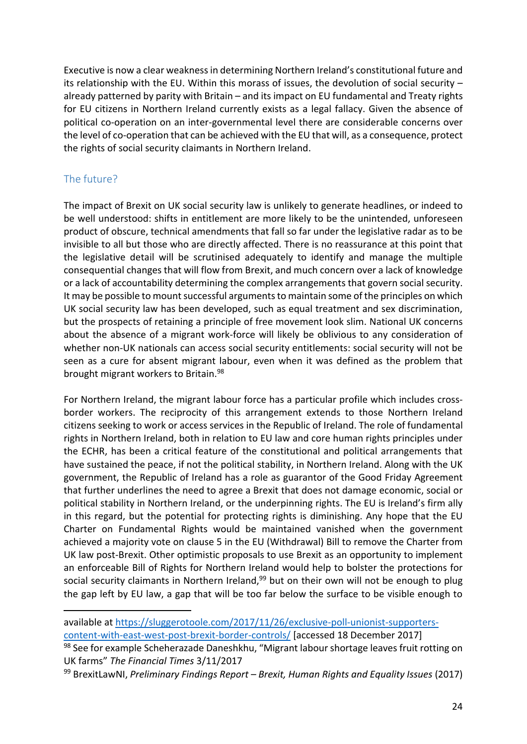Executive is now a clear weakness in determining Northern Ireland's constitutional future and its relationship with the EU. Within this morass of issues, the devolution of social security – already patterned by parity with Britain – and its impact on EU fundamental and Treaty rights for EU citizens in Northern Ireland currently exists as a legal fallacy. Given the absence of political co-operation on an inter-governmental level there are considerable concerns over the level of co-operation that can be achieved with the EU that will, as a consequence, protect the rights of social security claimants in Northern Ireland.

## The future?

**.** 

The impact of Brexit on UK social security law is unlikely to generate headlines, or indeed to be well understood: shifts in entitlement are more likely to be the unintended, unforeseen product of obscure, technical amendments that fall so far under the legislative radar as to be invisible to all but those who are directly affected. There is no reassurance at this point that the legislative detail will be scrutinised adequately to identify and manage the multiple consequential changes that will flow from Brexit, and much concern over a lack of knowledge or a lack of accountability determining the complex arrangements that govern social security. It may be possible to mount successful arguments to maintain some of the principles on which UK social security law has been developed, such as equal treatment and sex discrimination, but the prospects of retaining a principle of free movement look slim. National UK concerns about the absence of a migrant work-force will likely be oblivious to any consideration of whether non-UK nationals can access social security entitlements: social security will not be seen as a cure for absent migrant labour, even when it was defined as the problem that brought migrant workers to Britain.<sup>98</sup>

For Northern Ireland, the migrant labour force has a particular profile which includes crossborder workers. The reciprocity of this arrangement extends to those Northern Ireland citizens seeking to work or access services in the Republic of Ireland. The role of fundamental rights in Northern Ireland, both in relation to EU law and core human rights principles under the ECHR, has been a critical feature of the constitutional and political arrangements that have sustained the peace, if not the political stability, in Northern Ireland. Along with the UK government, the Republic of Ireland has a role as guarantor of the Good Friday Agreement that further underlines the need to agree a Brexit that does not damage economic, social or political stability in Northern Ireland, or the underpinning rights. The EU is Ireland's firm ally in this regard, but the potential for protecting rights is diminishing. Any hope that the EU Charter on Fundamental Rights would be maintained vanished when the government achieved a majority vote on clause 5 in the EU (Withdrawal) Bill to remove the Charter from UK law post-Brexit. Other optimistic proposals to use Brexit as an opportunity to implement an enforceable Bill of Rights for Northern Ireland would help to bolster the protections for social security claimants in Northern Ireland,<sup>99</sup> but on their own will not be enough to plug the gap left by EU law, a gap that will be too far below the surface to be visible enough to

available at [https://sluggerotoole.com/2017/11/26/exclusive-poll-unionist-supporters-](https://sluggerotoole.com/2017/11/26/exclusive-poll-unionist-supporters-content-with-east-west-post-brexit-border-controls/)

[content-with-east-west-post-brexit-border-controls/](https://sluggerotoole.com/2017/11/26/exclusive-poll-unionist-supporters-content-with-east-west-post-brexit-border-controls/) [accessed 18 December 2017]

<sup>98</sup> See for example Scheherazade Daneshkhu, "Migrant labour shortage leaves fruit rotting on UK farms" *The Financial Times* 3/11/2017

<sup>99</sup> BrexitLawNI, *Preliminary Findings Report – Brexit, Human Rights and Equality Issues* (2017)